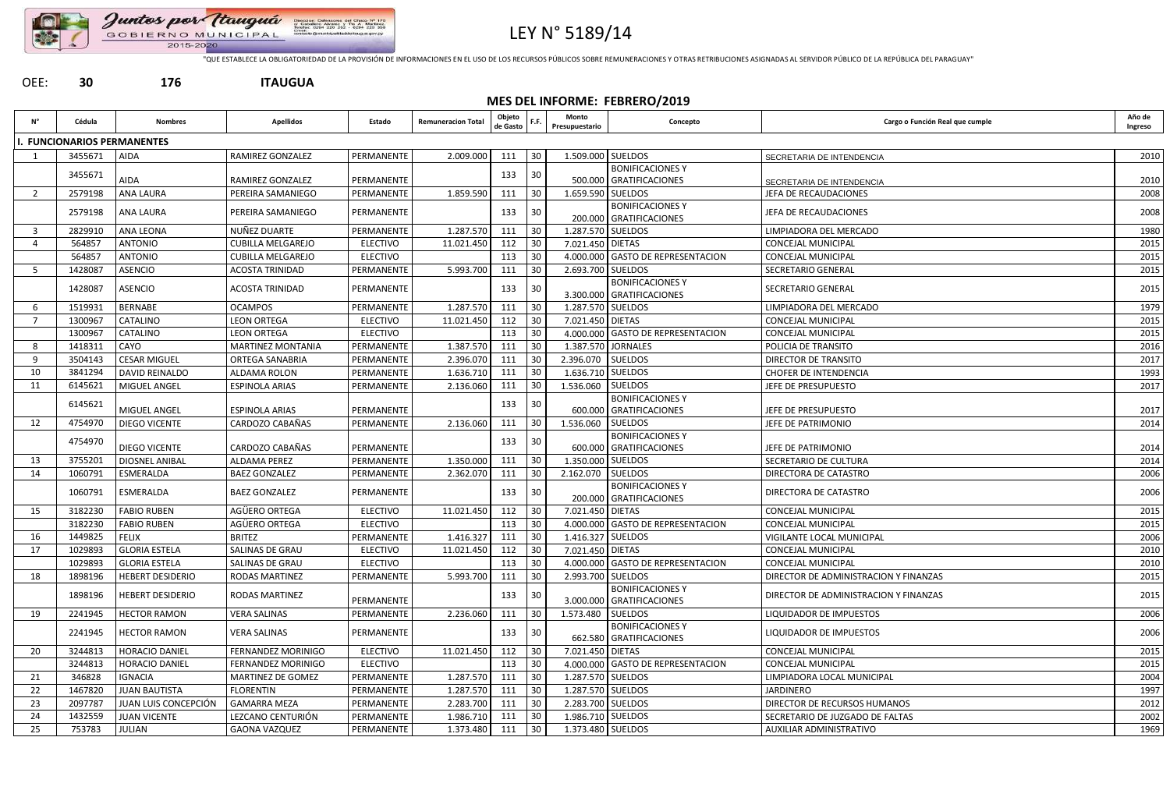

#### Juntos por Itauguá Direccion Tel A. Martinez V. Session on GOBIERNO MUNICIPAL 2015-2020

# LEY N° 5189/14

"QUE ESTABLECE LA OBLIGATORIEDAD DE LA PROVISIÓN DE INFORMACIONES EN EL USO DE LOS RECURSOS PÚBLICOS SOBRE REMUNERACIONES Y OTRAS RETRIBUCIONES ASIGNADAS AL SERVIDOR PÚBLICO DE LA REPÚBLICA DEL PARAGUAY"

#### OEE: **30 176 ITAUGUA**

## **MES DEL INFORME: FEBRERO/2019**

| <b>FUNCIONARIOS PERMANENTES</b><br>1.509.000 SUELDOS<br>3455671<br>30<br><b>AIDA</b><br>RAMIREZ GONZALEZ<br>PERMANENTE<br>2.009.000<br>111<br>SECRETARIA DE INTENDENCIA<br><b>BONIFICACIONES Y</b><br>30<br>3455671<br>133<br><b>AIDA</b><br>500.000 GRATIFICACIONES<br>RAMIREZ GONZALEZ<br>PERMANENTE<br>SECRETARIA DE INTENDENCIA<br>2579198<br>30<br><b>ANA LAURA</b><br>PEREIRA SAMANIEGO<br>PERMANENTE<br>1.859.590<br>111<br>1.659.590 SUELDOS<br>JEFA DE RECAUDACIONES<br>2<br><b>BONIFICACIONES Y</b><br>30<br>2579198<br><b>ANA LAURA</b><br>PEREIRA SAMANIEGO<br>PERMANENTE<br>133<br>JEFA DE RECAUDACIONES<br>200.000 GRATIFICACIONES<br>NUÑEZ DUARTE<br>2829910<br><b>ANA LEONA</b><br>1.287.570<br>111<br>30<br>PERMANENTE<br>1.287.570 SUELDOS<br>LIMPIADORA DEL MERCADO<br>3<br><b>ANTONIO</b><br>564857<br><b>ELECTIVO</b><br>11.021.450<br>112<br>30<br>7.021.450 DIETAS<br><b>CUBILLA MELGAREJO</b><br><b>CONCEJAL MUNICIPAL</b><br>564857<br><b>ANTONIO</b><br><b>ELECTIVO</b><br>113<br>4.000.000 GASTO DE REPRESENTACION<br><b>CUBILLA MELGAREJO</b><br>30<br>CONCEJAL MUNICIPAL<br>1428087<br><b>ASENCIO</b><br>5.993.700<br>30<br>2.693.700 SUELDOS<br><b>ACOSTA TRINIDAD</b><br>PERMANENTE<br>111<br>SECRETARIO GENERAL<br><b>BONIFICACIONES Y</b><br>1428087<br><b>ASENCIO</b><br><b>ACOSTA TRINIDAD</b><br>PERMANENTE<br>30<br>133<br><b>SECRETARIO GENERAL</b><br>3.300.000 GRATIFICACIONES<br>1519931<br>111<br>30<br><b>BERNABE</b><br><b>OCAMPOS</b><br>1.287.570<br>1.287.570 SUELDOS<br>PERMANENTE<br>LIMPIADORA DEL MERCADO<br>1300967<br>CATALINO<br><b>LEON ORTEGA</b><br><b>ELECTIVO</b><br>11.021.450<br>112<br>30<br>7.021.450 DIETAS<br>CONCEJAL MUNICIPAL<br>1300967<br><b>ELECTIVO</b><br>113<br>4.000.000 GASTO DE REPRESENTACION<br>CATALINO<br><b>LEON ORTEGA</b><br>30<br>CONCEJAL MUNICIPAL<br>CAYO<br>1.387.570<br>30<br>1.387.570 JORNALES<br>1418311<br><b>MARTINEZ MONTANIA</b><br>PERMANENTE<br>111<br>POLICIA DE TRANSITO<br><b>CESAR MIGUEL</b><br>2.396.070<br>2.396.070<br>3504143<br>ORTEGA SANABRIA<br>PERMANENTE<br>111<br>30<br><b>SUELDOS</b><br>DIRECTOR DE TRANSITO<br>-9<br>1.636.710 SUELDOS<br>10<br>3841294<br>111<br>30<br>DAVID REINALDO<br>ALDAMA ROLON<br>PERMANENTE<br>1.636.710<br><b>CHOFER DE INTENDENCIA</b><br>1.536.060 SUELDOS<br>6145621<br>MIGUEL ANGEL<br><b>ESPINOLA ARIAS</b><br>PERMANENTE<br>2.136.060<br>111<br>30<br>JEFE DE PRESUPUESTO<br>11<br><b>BONIFICACIONES Y</b><br>30<br>6145621<br>133<br>MIGUEL ANGEL<br><b>ESPINOLA ARIAS</b><br>PERMANENTE<br>600.000 GRATIFICACIONES<br>JEFE DE PRESUPUESTO<br>4754970<br>DIEGO VICENTE<br>CARDOZO CABAÑAS<br>30<br><b>SUELDOS</b><br>12<br>PERMANENTE<br>2.136.060<br>111<br>1.536.060<br>JEFE DE PATRIMONIO<br><b>BONIFICACIONES Y</b><br>30<br>4754970<br>133<br>DIEGO VICENTE<br>CARDOZO CABAÑAS<br>600.000 GRATIFICACIONES<br>PERMANENTE<br>JEFE DE PATRIMONIO<br>30<br>3755201<br>1.350.000 SUELDOS<br>13<br>1.350.000<br>111<br>DIOSNEL ANIBAL<br>ALDAMA PEREZ<br>PERMANENTE<br><b>SECRETARIO DE CULTURA</b><br>1060791<br>ESMERALDA<br><b>BAEZ GONZALEZ</b><br>PERMANENTE<br>2.362.070<br>111<br>30<br>2.162.070<br><b>SUELDOS</b><br>14<br>DIRECTORA DE CATASTRO<br><b>BONIFICACIONES Y</b><br>30<br>1060791<br>ESMERALDA<br><b>BAEZ GONZALEZ</b><br>PERMANENTE<br>133<br>DIRECTORA DE CATASTRO<br>200.000 GRATIFICACIONES<br>AGÜERO ORTEGA<br>3182230<br><b>FABIO RUBEN</b><br><b>ELECTIVO</b><br>112<br>30<br>15<br>11.021.450<br>7.021.450   DIETAS<br><b>CONCEJAL MUNICIPAL</b><br>AGÜERO ORTEGA<br>3182230<br><b>FABIO RUBEN</b><br>30<br>4.000.000 GASTO DE REPRESENTACION<br>CONCEJAL MUNICIPAL<br><b>ELECTIVO</b><br>113<br>1449825<br>30<br>1.416.327 SUELDOS<br>16<br><b>FELIX</b><br><b>BRITEZ</b><br>1.416.327<br>111<br>PERMANENTE<br>VIGILANTE LOCAL MUNICIPAL<br>$112$ 30<br>11.021.450<br>7.021.450 DIETAS<br>1029893<br><b>GLORIA ESTELA</b><br>SALINAS DE GRAU<br><b>ELECTIVO</b><br>CONCEJAL MUNICIPAL<br>17<br><b>GLORIA ESTELA</b><br><b>ELECTIVO</b><br>113<br>30<br>1029893<br>SALINAS DE GRAU<br>4.000.000 GASTO DE REPRESENTACION<br>CONCEJAL MUNICIPAL<br><b>HEBERT DESIDERIO</b><br>5.993.700<br>30<br>18<br>1898196<br><b>RODAS MARTINEZ</b><br>111<br>2.993.700 SUELDOS<br>DIRECTOR DE ADMINISTRACION Y FINANZAS<br>PERMANENTE<br><b>BONIFICACIONES Y</b><br><b>RODAS MARTINEZ</b><br>1898196<br><b>HEBERT DESIDERIO</b><br>133<br>30<br>DIRECTOR DE ADMINISTRACION Y FINANZAS<br>PERMANENTE<br>3.000.000 GRATIFICACIONES<br>2.236.060<br><b>HECTOR RAMON</b><br><b>VERA SALINAS</b><br>PERMANENTE<br>111<br>30<br>1.573.480 SUELDOS<br>19<br>2241945<br>LIQUIDADOR DE IMPUESTOS<br><b>BONIFICACIONES Y</b><br><b>VERA SALINAS</b><br>PERMANENTE<br>133<br> 30<br>2241945<br><b>HECTOR RAMON</b><br>LIQUIDADOR DE IMPUESTOS<br>662.580 GRATIFICACIONES<br>30<br>HORACIO DANIEL<br>FERNANDEZ MORINIGO<br><b>ELECTIVO</b><br>11.021.450<br>112<br>7.021.450 DIETAS<br>20<br>3244813<br>CONCEJAL MUNICIPAL<br><b>ELECTIVO</b><br>113<br>3244813<br><b>HORACIO DANIEL</b><br>FERNANDEZ MORINIGO<br>30<br>4.000.000 GASTO DE REPRESENTACION<br><b>CONCEJAL MUNICIPAL</b><br>30<br>346828<br>1.287.570<br>1.287.570 SUELDOS<br>21<br><b>IGNACIA</b><br>MARTINEZ DE GOMEZ<br>PERMANENTE<br>111<br>LIMPIADORA LOCAL MUNICIPAL<br>22<br>1467820<br>111<br>1.287.570 SUELDOS<br><b>FLORENTIN</b><br>1.287.570<br>30<br><b>JUAN BAUTISTA</b><br>PERMANENTE<br>JARDINERO<br>30<br>2097787<br>2.283.700 SUELDOS<br>23<br>JUAN LUIS CONCEPCIÓN<br>PERMANENTE<br>2.283.700<br>111<br><b>GAMARRA MEZA</b><br>DIRECTOR DE RECURSOS HUMANOS<br>1.986.710<br>1.986.710 SUELDOS<br>1432559<br><b>JUAN VICENTE</b><br>LEZCANO CENTURIÓN<br>PERMANENTE<br>111<br>30<br>SECRETARIO DE JUZGADO DE FALTAS<br>24<br>1.373.480<br>1.373.480 SUELDOS<br>25<br>753783<br>JULIAN<br><b>GAONA VAZQUEZ</b><br>PERMANENTE<br>111<br>30 <sup>°</sup><br>AUXILIAR ADMINISTRATIVO | Ν° | Cédula | <b>Nombres</b> | <b>Apellidos</b> | Estado | <b>Remuneracion Total</b> | Objeto<br>de Gasto | F.F. | Monto<br>Presupuestario | Concepto | Cargo o Función Real que cumple | Año de<br>Ingreso |
|---------------------------------------------------------------------------------------------------------------------------------------------------------------------------------------------------------------------------------------------------------------------------------------------------------------------------------------------------------------------------------------------------------------------------------------------------------------------------------------------------------------------------------------------------------------------------------------------------------------------------------------------------------------------------------------------------------------------------------------------------------------------------------------------------------------------------------------------------------------------------------------------------------------------------------------------------------------------------------------------------------------------------------------------------------------------------------------------------------------------------------------------------------------------------------------------------------------------------------------------------------------------------------------------------------------------------------------------------------------------------------------------------------------------------------------------------------------------------------------------------------------------------------------------------------------------------------------------------------------------------------------------------------------------------------------------------------------------------------------------------------------------------------------------------------------------------------------------------------------------------------------------------------------------------------------------------------------------------------------------------------------------------------------------------------------------------------------------------------------------------------------------------------------------------------------------------------------------------------------------------------------------------------------------------------------------------------------------------------------------------------------------------------------------------------------------------------------------------------------------------------------------------------------------------------------------------------------------------------------------------------------------------------------------------------------------------------------------------------------------------------------------------------------------------------------------------------------------------------------------------------------------------------------------------------------------------------------------------------------------------------------------------------------------------------------------------------------------------------------------------------------------------------------------------------------------------------------------------------------------------------------------------------------------------------------------------------------------------------------------------------------------------------------------------------------------------------------------------------------------------------------------------------------------------------------------------------------------------------------------------------------------------------------------------------------------------------------------------------------------------------------------------------------------------------------------------------------------------------------------------------------------------------------------------------------------------------------------------------------------------------------------------------------------------------------------------------------------------------------------------------------------------------------------------------------------------------------------------------------------------------------------------------------------------------------------------------------------------------------------------------------------------------------------------------------------------------------------------------------------------------------------------------------------------------------------------------------------------------------------------------------------------------------------------------------------------------------------------------------------------------------------------------------------------------------------------------------------------------------------------------------------------------------------------------------------------------------------------------------------------------------------------------------------------------------------------------------------------------------------------------------------------------------------------------------------------------------------------------------------------------------------------------------------------------------------------------------------------------------------------------------------------------------------------------------------------------------------------------------------------------------------------------------------------------------------------------------------------------------------------------------------------------------------------------------------------------------------------------------------------------------------------------------------------------------------------------------------------------------------------------------------------------------------------|----|--------|----------------|------------------|--------|---------------------------|--------------------|------|-------------------------|----------|---------------------------------|-------------------|
|                                                                                                                                                                                                                                                                                                                                                                                                                                                                                                                                                                                                                                                                                                                                                                                                                                                                                                                                                                                                                                                                                                                                                                                                                                                                                                                                                                                                                                                                                                                                                                                                                                                                                                                                                                                                                                                                                                                                                                                                                                                                                                                                                                                                                                                                                                                                                                                                                                                                                                                                                                                                                                                                                                                                                                                                                                                                                                                                                                                                                                                                                                                                                                                                                                                                                                                                                                                                                                                                                                                                                                                                                                                                                                                                                                                                                                                                                                                                                                                                                                                                                                                                                                                                                                                                                                                                                                                                                                                                                                                                                                                                                                                                                                                                                                                                                                                                                                                                                                                                                                                                                                                                                                                                                                                                                                                                                                                                                                                                                                                                                                                                                                                                                                                                                                                                                                                                                                                           |    |        |                |                  |        |                           |                    |      |                         |          |                                 |                   |
|                                                                                                                                                                                                                                                                                                                                                                                                                                                                                                                                                                                                                                                                                                                                                                                                                                                                                                                                                                                                                                                                                                                                                                                                                                                                                                                                                                                                                                                                                                                                                                                                                                                                                                                                                                                                                                                                                                                                                                                                                                                                                                                                                                                                                                                                                                                                                                                                                                                                                                                                                                                                                                                                                                                                                                                                                                                                                                                                                                                                                                                                                                                                                                                                                                                                                                                                                                                                                                                                                                                                                                                                                                                                                                                                                                                                                                                                                                                                                                                                                                                                                                                                                                                                                                                                                                                                                                                                                                                                                                                                                                                                                                                                                                                                                                                                                                                                                                                                                                                                                                                                                                                                                                                                                                                                                                                                                                                                                                                                                                                                                                                                                                                                                                                                                                                                                                                                                                                           |    |        |                |                  |        |                           |                    |      |                         |          |                                 | 2010              |
|                                                                                                                                                                                                                                                                                                                                                                                                                                                                                                                                                                                                                                                                                                                                                                                                                                                                                                                                                                                                                                                                                                                                                                                                                                                                                                                                                                                                                                                                                                                                                                                                                                                                                                                                                                                                                                                                                                                                                                                                                                                                                                                                                                                                                                                                                                                                                                                                                                                                                                                                                                                                                                                                                                                                                                                                                                                                                                                                                                                                                                                                                                                                                                                                                                                                                                                                                                                                                                                                                                                                                                                                                                                                                                                                                                                                                                                                                                                                                                                                                                                                                                                                                                                                                                                                                                                                                                                                                                                                                                                                                                                                                                                                                                                                                                                                                                                                                                                                                                                                                                                                                                                                                                                                                                                                                                                                                                                                                                                                                                                                                                                                                                                                                                                                                                                                                                                                                                                           |    |        |                |                  |        |                           |                    |      |                         |          |                                 |                   |
|                                                                                                                                                                                                                                                                                                                                                                                                                                                                                                                                                                                                                                                                                                                                                                                                                                                                                                                                                                                                                                                                                                                                                                                                                                                                                                                                                                                                                                                                                                                                                                                                                                                                                                                                                                                                                                                                                                                                                                                                                                                                                                                                                                                                                                                                                                                                                                                                                                                                                                                                                                                                                                                                                                                                                                                                                                                                                                                                                                                                                                                                                                                                                                                                                                                                                                                                                                                                                                                                                                                                                                                                                                                                                                                                                                                                                                                                                                                                                                                                                                                                                                                                                                                                                                                                                                                                                                                                                                                                                                                                                                                                                                                                                                                                                                                                                                                                                                                                                                                                                                                                                                                                                                                                                                                                                                                                                                                                                                                                                                                                                                                                                                                                                                                                                                                                                                                                                                                           |    |        |                |                  |        |                           |                    |      |                         |          |                                 | 2010              |
|                                                                                                                                                                                                                                                                                                                                                                                                                                                                                                                                                                                                                                                                                                                                                                                                                                                                                                                                                                                                                                                                                                                                                                                                                                                                                                                                                                                                                                                                                                                                                                                                                                                                                                                                                                                                                                                                                                                                                                                                                                                                                                                                                                                                                                                                                                                                                                                                                                                                                                                                                                                                                                                                                                                                                                                                                                                                                                                                                                                                                                                                                                                                                                                                                                                                                                                                                                                                                                                                                                                                                                                                                                                                                                                                                                                                                                                                                                                                                                                                                                                                                                                                                                                                                                                                                                                                                                                                                                                                                                                                                                                                                                                                                                                                                                                                                                                                                                                                                                                                                                                                                                                                                                                                                                                                                                                                                                                                                                                                                                                                                                                                                                                                                                                                                                                                                                                                                                                           |    |        |                |                  |        |                           |                    |      |                         |          |                                 | 2008              |
|                                                                                                                                                                                                                                                                                                                                                                                                                                                                                                                                                                                                                                                                                                                                                                                                                                                                                                                                                                                                                                                                                                                                                                                                                                                                                                                                                                                                                                                                                                                                                                                                                                                                                                                                                                                                                                                                                                                                                                                                                                                                                                                                                                                                                                                                                                                                                                                                                                                                                                                                                                                                                                                                                                                                                                                                                                                                                                                                                                                                                                                                                                                                                                                                                                                                                                                                                                                                                                                                                                                                                                                                                                                                                                                                                                                                                                                                                                                                                                                                                                                                                                                                                                                                                                                                                                                                                                                                                                                                                                                                                                                                                                                                                                                                                                                                                                                                                                                                                                                                                                                                                                                                                                                                                                                                                                                                                                                                                                                                                                                                                                                                                                                                                                                                                                                                                                                                                                                           |    |        |                |                  |        |                           |                    |      |                         |          |                                 | 2008              |
|                                                                                                                                                                                                                                                                                                                                                                                                                                                                                                                                                                                                                                                                                                                                                                                                                                                                                                                                                                                                                                                                                                                                                                                                                                                                                                                                                                                                                                                                                                                                                                                                                                                                                                                                                                                                                                                                                                                                                                                                                                                                                                                                                                                                                                                                                                                                                                                                                                                                                                                                                                                                                                                                                                                                                                                                                                                                                                                                                                                                                                                                                                                                                                                                                                                                                                                                                                                                                                                                                                                                                                                                                                                                                                                                                                                                                                                                                                                                                                                                                                                                                                                                                                                                                                                                                                                                                                                                                                                                                                                                                                                                                                                                                                                                                                                                                                                                                                                                                                                                                                                                                                                                                                                                                                                                                                                                                                                                                                                                                                                                                                                                                                                                                                                                                                                                                                                                                                                           |    |        |                |                  |        |                           |                    |      |                         |          |                                 | 1980              |
|                                                                                                                                                                                                                                                                                                                                                                                                                                                                                                                                                                                                                                                                                                                                                                                                                                                                                                                                                                                                                                                                                                                                                                                                                                                                                                                                                                                                                                                                                                                                                                                                                                                                                                                                                                                                                                                                                                                                                                                                                                                                                                                                                                                                                                                                                                                                                                                                                                                                                                                                                                                                                                                                                                                                                                                                                                                                                                                                                                                                                                                                                                                                                                                                                                                                                                                                                                                                                                                                                                                                                                                                                                                                                                                                                                                                                                                                                                                                                                                                                                                                                                                                                                                                                                                                                                                                                                                                                                                                                                                                                                                                                                                                                                                                                                                                                                                                                                                                                                                                                                                                                                                                                                                                                                                                                                                                                                                                                                                                                                                                                                                                                                                                                                                                                                                                                                                                                                                           |    |        |                |                  |        |                           |                    |      |                         |          |                                 | 2015              |
|                                                                                                                                                                                                                                                                                                                                                                                                                                                                                                                                                                                                                                                                                                                                                                                                                                                                                                                                                                                                                                                                                                                                                                                                                                                                                                                                                                                                                                                                                                                                                                                                                                                                                                                                                                                                                                                                                                                                                                                                                                                                                                                                                                                                                                                                                                                                                                                                                                                                                                                                                                                                                                                                                                                                                                                                                                                                                                                                                                                                                                                                                                                                                                                                                                                                                                                                                                                                                                                                                                                                                                                                                                                                                                                                                                                                                                                                                                                                                                                                                                                                                                                                                                                                                                                                                                                                                                                                                                                                                                                                                                                                                                                                                                                                                                                                                                                                                                                                                                                                                                                                                                                                                                                                                                                                                                                                                                                                                                                                                                                                                                                                                                                                                                                                                                                                                                                                                                                           |    |        |                |                  |        |                           |                    |      |                         |          |                                 | 2015              |
|                                                                                                                                                                                                                                                                                                                                                                                                                                                                                                                                                                                                                                                                                                                                                                                                                                                                                                                                                                                                                                                                                                                                                                                                                                                                                                                                                                                                                                                                                                                                                                                                                                                                                                                                                                                                                                                                                                                                                                                                                                                                                                                                                                                                                                                                                                                                                                                                                                                                                                                                                                                                                                                                                                                                                                                                                                                                                                                                                                                                                                                                                                                                                                                                                                                                                                                                                                                                                                                                                                                                                                                                                                                                                                                                                                                                                                                                                                                                                                                                                                                                                                                                                                                                                                                                                                                                                                                                                                                                                                                                                                                                                                                                                                                                                                                                                                                                                                                                                                                                                                                                                                                                                                                                                                                                                                                                                                                                                                                                                                                                                                                                                                                                                                                                                                                                                                                                                                                           |    |        |                |                  |        |                           |                    |      |                         |          |                                 | 2015              |
|                                                                                                                                                                                                                                                                                                                                                                                                                                                                                                                                                                                                                                                                                                                                                                                                                                                                                                                                                                                                                                                                                                                                                                                                                                                                                                                                                                                                                                                                                                                                                                                                                                                                                                                                                                                                                                                                                                                                                                                                                                                                                                                                                                                                                                                                                                                                                                                                                                                                                                                                                                                                                                                                                                                                                                                                                                                                                                                                                                                                                                                                                                                                                                                                                                                                                                                                                                                                                                                                                                                                                                                                                                                                                                                                                                                                                                                                                                                                                                                                                                                                                                                                                                                                                                                                                                                                                                                                                                                                                                                                                                                                                                                                                                                                                                                                                                                                                                                                                                                                                                                                                                                                                                                                                                                                                                                                                                                                                                                                                                                                                                                                                                                                                                                                                                                                                                                                                                                           |    |        |                |                  |        |                           |                    |      |                         |          |                                 | 2015              |
|                                                                                                                                                                                                                                                                                                                                                                                                                                                                                                                                                                                                                                                                                                                                                                                                                                                                                                                                                                                                                                                                                                                                                                                                                                                                                                                                                                                                                                                                                                                                                                                                                                                                                                                                                                                                                                                                                                                                                                                                                                                                                                                                                                                                                                                                                                                                                                                                                                                                                                                                                                                                                                                                                                                                                                                                                                                                                                                                                                                                                                                                                                                                                                                                                                                                                                                                                                                                                                                                                                                                                                                                                                                                                                                                                                                                                                                                                                                                                                                                                                                                                                                                                                                                                                                                                                                                                                                                                                                                                                                                                                                                                                                                                                                                                                                                                                                                                                                                                                                                                                                                                                                                                                                                                                                                                                                                                                                                                                                                                                                                                                                                                                                                                                                                                                                                                                                                                                                           |    |        |                |                  |        |                           |                    |      |                         |          |                                 | 1979              |
|                                                                                                                                                                                                                                                                                                                                                                                                                                                                                                                                                                                                                                                                                                                                                                                                                                                                                                                                                                                                                                                                                                                                                                                                                                                                                                                                                                                                                                                                                                                                                                                                                                                                                                                                                                                                                                                                                                                                                                                                                                                                                                                                                                                                                                                                                                                                                                                                                                                                                                                                                                                                                                                                                                                                                                                                                                                                                                                                                                                                                                                                                                                                                                                                                                                                                                                                                                                                                                                                                                                                                                                                                                                                                                                                                                                                                                                                                                                                                                                                                                                                                                                                                                                                                                                                                                                                                                                                                                                                                                                                                                                                                                                                                                                                                                                                                                                                                                                                                                                                                                                                                                                                                                                                                                                                                                                                                                                                                                                                                                                                                                                                                                                                                                                                                                                                                                                                                                                           |    |        |                |                  |        |                           |                    |      |                         |          |                                 | 2015              |
|                                                                                                                                                                                                                                                                                                                                                                                                                                                                                                                                                                                                                                                                                                                                                                                                                                                                                                                                                                                                                                                                                                                                                                                                                                                                                                                                                                                                                                                                                                                                                                                                                                                                                                                                                                                                                                                                                                                                                                                                                                                                                                                                                                                                                                                                                                                                                                                                                                                                                                                                                                                                                                                                                                                                                                                                                                                                                                                                                                                                                                                                                                                                                                                                                                                                                                                                                                                                                                                                                                                                                                                                                                                                                                                                                                                                                                                                                                                                                                                                                                                                                                                                                                                                                                                                                                                                                                                                                                                                                                                                                                                                                                                                                                                                                                                                                                                                                                                                                                                                                                                                                                                                                                                                                                                                                                                                                                                                                                                                                                                                                                                                                                                                                                                                                                                                                                                                                                                           |    |        |                |                  |        |                           |                    |      |                         |          |                                 | 2015              |
|                                                                                                                                                                                                                                                                                                                                                                                                                                                                                                                                                                                                                                                                                                                                                                                                                                                                                                                                                                                                                                                                                                                                                                                                                                                                                                                                                                                                                                                                                                                                                                                                                                                                                                                                                                                                                                                                                                                                                                                                                                                                                                                                                                                                                                                                                                                                                                                                                                                                                                                                                                                                                                                                                                                                                                                                                                                                                                                                                                                                                                                                                                                                                                                                                                                                                                                                                                                                                                                                                                                                                                                                                                                                                                                                                                                                                                                                                                                                                                                                                                                                                                                                                                                                                                                                                                                                                                                                                                                                                                                                                                                                                                                                                                                                                                                                                                                                                                                                                                                                                                                                                                                                                                                                                                                                                                                                                                                                                                                                                                                                                                                                                                                                                                                                                                                                                                                                                                                           |    |        |                |                  |        |                           |                    |      |                         |          |                                 | 2016              |
|                                                                                                                                                                                                                                                                                                                                                                                                                                                                                                                                                                                                                                                                                                                                                                                                                                                                                                                                                                                                                                                                                                                                                                                                                                                                                                                                                                                                                                                                                                                                                                                                                                                                                                                                                                                                                                                                                                                                                                                                                                                                                                                                                                                                                                                                                                                                                                                                                                                                                                                                                                                                                                                                                                                                                                                                                                                                                                                                                                                                                                                                                                                                                                                                                                                                                                                                                                                                                                                                                                                                                                                                                                                                                                                                                                                                                                                                                                                                                                                                                                                                                                                                                                                                                                                                                                                                                                                                                                                                                                                                                                                                                                                                                                                                                                                                                                                                                                                                                                                                                                                                                                                                                                                                                                                                                                                                                                                                                                                                                                                                                                                                                                                                                                                                                                                                                                                                                                                           |    |        |                |                  |        |                           |                    |      |                         |          |                                 | 2017              |
|                                                                                                                                                                                                                                                                                                                                                                                                                                                                                                                                                                                                                                                                                                                                                                                                                                                                                                                                                                                                                                                                                                                                                                                                                                                                                                                                                                                                                                                                                                                                                                                                                                                                                                                                                                                                                                                                                                                                                                                                                                                                                                                                                                                                                                                                                                                                                                                                                                                                                                                                                                                                                                                                                                                                                                                                                                                                                                                                                                                                                                                                                                                                                                                                                                                                                                                                                                                                                                                                                                                                                                                                                                                                                                                                                                                                                                                                                                                                                                                                                                                                                                                                                                                                                                                                                                                                                                                                                                                                                                                                                                                                                                                                                                                                                                                                                                                                                                                                                                                                                                                                                                                                                                                                                                                                                                                                                                                                                                                                                                                                                                                                                                                                                                                                                                                                                                                                                                                           |    |        |                |                  |        |                           |                    |      |                         |          |                                 | 1993              |
|                                                                                                                                                                                                                                                                                                                                                                                                                                                                                                                                                                                                                                                                                                                                                                                                                                                                                                                                                                                                                                                                                                                                                                                                                                                                                                                                                                                                                                                                                                                                                                                                                                                                                                                                                                                                                                                                                                                                                                                                                                                                                                                                                                                                                                                                                                                                                                                                                                                                                                                                                                                                                                                                                                                                                                                                                                                                                                                                                                                                                                                                                                                                                                                                                                                                                                                                                                                                                                                                                                                                                                                                                                                                                                                                                                                                                                                                                                                                                                                                                                                                                                                                                                                                                                                                                                                                                                                                                                                                                                                                                                                                                                                                                                                                                                                                                                                                                                                                                                                                                                                                                                                                                                                                                                                                                                                                                                                                                                                                                                                                                                                                                                                                                                                                                                                                                                                                                                                           |    |        |                |                  |        |                           |                    |      |                         |          |                                 | 2017              |
|                                                                                                                                                                                                                                                                                                                                                                                                                                                                                                                                                                                                                                                                                                                                                                                                                                                                                                                                                                                                                                                                                                                                                                                                                                                                                                                                                                                                                                                                                                                                                                                                                                                                                                                                                                                                                                                                                                                                                                                                                                                                                                                                                                                                                                                                                                                                                                                                                                                                                                                                                                                                                                                                                                                                                                                                                                                                                                                                                                                                                                                                                                                                                                                                                                                                                                                                                                                                                                                                                                                                                                                                                                                                                                                                                                                                                                                                                                                                                                                                                                                                                                                                                                                                                                                                                                                                                                                                                                                                                                                                                                                                                                                                                                                                                                                                                                                                                                                                                                                                                                                                                                                                                                                                                                                                                                                                                                                                                                                                                                                                                                                                                                                                                                                                                                                                                                                                                                                           |    |        |                |                  |        |                           |                    |      |                         |          |                                 | 2017              |
|                                                                                                                                                                                                                                                                                                                                                                                                                                                                                                                                                                                                                                                                                                                                                                                                                                                                                                                                                                                                                                                                                                                                                                                                                                                                                                                                                                                                                                                                                                                                                                                                                                                                                                                                                                                                                                                                                                                                                                                                                                                                                                                                                                                                                                                                                                                                                                                                                                                                                                                                                                                                                                                                                                                                                                                                                                                                                                                                                                                                                                                                                                                                                                                                                                                                                                                                                                                                                                                                                                                                                                                                                                                                                                                                                                                                                                                                                                                                                                                                                                                                                                                                                                                                                                                                                                                                                                                                                                                                                                                                                                                                                                                                                                                                                                                                                                                                                                                                                                                                                                                                                                                                                                                                                                                                                                                                                                                                                                                                                                                                                                                                                                                                                                                                                                                                                                                                                                                           |    |        |                |                  |        |                           |                    |      |                         |          |                                 | 2014              |
|                                                                                                                                                                                                                                                                                                                                                                                                                                                                                                                                                                                                                                                                                                                                                                                                                                                                                                                                                                                                                                                                                                                                                                                                                                                                                                                                                                                                                                                                                                                                                                                                                                                                                                                                                                                                                                                                                                                                                                                                                                                                                                                                                                                                                                                                                                                                                                                                                                                                                                                                                                                                                                                                                                                                                                                                                                                                                                                                                                                                                                                                                                                                                                                                                                                                                                                                                                                                                                                                                                                                                                                                                                                                                                                                                                                                                                                                                                                                                                                                                                                                                                                                                                                                                                                                                                                                                                                                                                                                                                                                                                                                                                                                                                                                                                                                                                                                                                                                                                                                                                                                                                                                                                                                                                                                                                                                                                                                                                                                                                                                                                                                                                                                                                                                                                                                                                                                                                                           |    |        |                |                  |        |                           |                    |      |                         |          |                                 | 2014              |
|                                                                                                                                                                                                                                                                                                                                                                                                                                                                                                                                                                                                                                                                                                                                                                                                                                                                                                                                                                                                                                                                                                                                                                                                                                                                                                                                                                                                                                                                                                                                                                                                                                                                                                                                                                                                                                                                                                                                                                                                                                                                                                                                                                                                                                                                                                                                                                                                                                                                                                                                                                                                                                                                                                                                                                                                                                                                                                                                                                                                                                                                                                                                                                                                                                                                                                                                                                                                                                                                                                                                                                                                                                                                                                                                                                                                                                                                                                                                                                                                                                                                                                                                                                                                                                                                                                                                                                                                                                                                                                                                                                                                                                                                                                                                                                                                                                                                                                                                                                                                                                                                                                                                                                                                                                                                                                                                                                                                                                                                                                                                                                                                                                                                                                                                                                                                                                                                                                                           |    |        |                |                  |        |                           |                    |      |                         |          |                                 | 2014              |
|                                                                                                                                                                                                                                                                                                                                                                                                                                                                                                                                                                                                                                                                                                                                                                                                                                                                                                                                                                                                                                                                                                                                                                                                                                                                                                                                                                                                                                                                                                                                                                                                                                                                                                                                                                                                                                                                                                                                                                                                                                                                                                                                                                                                                                                                                                                                                                                                                                                                                                                                                                                                                                                                                                                                                                                                                                                                                                                                                                                                                                                                                                                                                                                                                                                                                                                                                                                                                                                                                                                                                                                                                                                                                                                                                                                                                                                                                                                                                                                                                                                                                                                                                                                                                                                                                                                                                                                                                                                                                                                                                                                                                                                                                                                                                                                                                                                                                                                                                                                                                                                                                                                                                                                                                                                                                                                                                                                                                                                                                                                                                                                                                                                                                                                                                                                                                                                                                                                           |    |        |                |                  |        |                           |                    |      |                         |          |                                 | 2006              |
|                                                                                                                                                                                                                                                                                                                                                                                                                                                                                                                                                                                                                                                                                                                                                                                                                                                                                                                                                                                                                                                                                                                                                                                                                                                                                                                                                                                                                                                                                                                                                                                                                                                                                                                                                                                                                                                                                                                                                                                                                                                                                                                                                                                                                                                                                                                                                                                                                                                                                                                                                                                                                                                                                                                                                                                                                                                                                                                                                                                                                                                                                                                                                                                                                                                                                                                                                                                                                                                                                                                                                                                                                                                                                                                                                                                                                                                                                                                                                                                                                                                                                                                                                                                                                                                                                                                                                                                                                                                                                                                                                                                                                                                                                                                                                                                                                                                                                                                                                                                                                                                                                                                                                                                                                                                                                                                                                                                                                                                                                                                                                                                                                                                                                                                                                                                                                                                                                                                           |    |        |                |                  |        |                           |                    |      |                         |          |                                 | 2006              |
|                                                                                                                                                                                                                                                                                                                                                                                                                                                                                                                                                                                                                                                                                                                                                                                                                                                                                                                                                                                                                                                                                                                                                                                                                                                                                                                                                                                                                                                                                                                                                                                                                                                                                                                                                                                                                                                                                                                                                                                                                                                                                                                                                                                                                                                                                                                                                                                                                                                                                                                                                                                                                                                                                                                                                                                                                                                                                                                                                                                                                                                                                                                                                                                                                                                                                                                                                                                                                                                                                                                                                                                                                                                                                                                                                                                                                                                                                                                                                                                                                                                                                                                                                                                                                                                                                                                                                                                                                                                                                                                                                                                                                                                                                                                                                                                                                                                                                                                                                                                                                                                                                                                                                                                                                                                                                                                                                                                                                                                                                                                                                                                                                                                                                                                                                                                                                                                                                                                           |    |        |                |                  |        |                           |                    |      |                         |          |                                 | 2015              |
|                                                                                                                                                                                                                                                                                                                                                                                                                                                                                                                                                                                                                                                                                                                                                                                                                                                                                                                                                                                                                                                                                                                                                                                                                                                                                                                                                                                                                                                                                                                                                                                                                                                                                                                                                                                                                                                                                                                                                                                                                                                                                                                                                                                                                                                                                                                                                                                                                                                                                                                                                                                                                                                                                                                                                                                                                                                                                                                                                                                                                                                                                                                                                                                                                                                                                                                                                                                                                                                                                                                                                                                                                                                                                                                                                                                                                                                                                                                                                                                                                                                                                                                                                                                                                                                                                                                                                                                                                                                                                                                                                                                                                                                                                                                                                                                                                                                                                                                                                                                                                                                                                                                                                                                                                                                                                                                                                                                                                                                                                                                                                                                                                                                                                                                                                                                                                                                                                                                           |    |        |                |                  |        |                           |                    |      |                         |          |                                 | 2015              |
|                                                                                                                                                                                                                                                                                                                                                                                                                                                                                                                                                                                                                                                                                                                                                                                                                                                                                                                                                                                                                                                                                                                                                                                                                                                                                                                                                                                                                                                                                                                                                                                                                                                                                                                                                                                                                                                                                                                                                                                                                                                                                                                                                                                                                                                                                                                                                                                                                                                                                                                                                                                                                                                                                                                                                                                                                                                                                                                                                                                                                                                                                                                                                                                                                                                                                                                                                                                                                                                                                                                                                                                                                                                                                                                                                                                                                                                                                                                                                                                                                                                                                                                                                                                                                                                                                                                                                                                                                                                                                                                                                                                                                                                                                                                                                                                                                                                                                                                                                                                                                                                                                                                                                                                                                                                                                                                                                                                                                                                                                                                                                                                                                                                                                                                                                                                                                                                                                                                           |    |        |                |                  |        |                           |                    |      |                         |          |                                 | 2006              |
|                                                                                                                                                                                                                                                                                                                                                                                                                                                                                                                                                                                                                                                                                                                                                                                                                                                                                                                                                                                                                                                                                                                                                                                                                                                                                                                                                                                                                                                                                                                                                                                                                                                                                                                                                                                                                                                                                                                                                                                                                                                                                                                                                                                                                                                                                                                                                                                                                                                                                                                                                                                                                                                                                                                                                                                                                                                                                                                                                                                                                                                                                                                                                                                                                                                                                                                                                                                                                                                                                                                                                                                                                                                                                                                                                                                                                                                                                                                                                                                                                                                                                                                                                                                                                                                                                                                                                                                                                                                                                                                                                                                                                                                                                                                                                                                                                                                                                                                                                                                                                                                                                                                                                                                                                                                                                                                                                                                                                                                                                                                                                                                                                                                                                                                                                                                                                                                                                                                           |    |        |                |                  |        |                           |                    |      |                         |          |                                 | 2010              |
|                                                                                                                                                                                                                                                                                                                                                                                                                                                                                                                                                                                                                                                                                                                                                                                                                                                                                                                                                                                                                                                                                                                                                                                                                                                                                                                                                                                                                                                                                                                                                                                                                                                                                                                                                                                                                                                                                                                                                                                                                                                                                                                                                                                                                                                                                                                                                                                                                                                                                                                                                                                                                                                                                                                                                                                                                                                                                                                                                                                                                                                                                                                                                                                                                                                                                                                                                                                                                                                                                                                                                                                                                                                                                                                                                                                                                                                                                                                                                                                                                                                                                                                                                                                                                                                                                                                                                                                                                                                                                                                                                                                                                                                                                                                                                                                                                                                                                                                                                                                                                                                                                                                                                                                                                                                                                                                                                                                                                                                                                                                                                                                                                                                                                                                                                                                                                                                                                                                           |    |        |                |                  |        |                           |                    |      |                         |          |                                 | 2010              |
|                                                                                                                                                                                                                                                                                                                                                                                                                                                                                                                                                                                                                                                                                                                                                                                                                                                                                                                                                                                                                                                                                                                                                                                                                                                                                                                                                                                                                                                                                                                                                                                                                                                                                                                                                                                                                                                                                                                                                                                                                                                                                                                                                                                                                                                                                                                                                                                                                                                                                                                                                                                                                                                                                                                                                                                                                                                                                                                                                                                                                                                                                                                                                                                                                                                                                                                                                                                                                                                                                                                                                                                                                                                                                                                                                                                                                                                                                                                                                                                                                                                                                                                                                                                                                                                                                                                                                                                                                                                                                                                                                                                                                                                                                                                                                                                                                                                                                                                                                                                                                                                                                                                                                                                                                                                                                                                                                                                                                                                                                                                                                                                                                                                                                                                                                                                                                                                                                                                           |    |        |                |                  |        |                           |                    |      |                         |          |                                 | 2015              |
|                                                                                                                                                                                                                                                                                                                                                                                                                                                                                                                                                                                                                                                                                                                                                                                                                                                                                                                                                                                                                                                                                                                                                                                                                                                                                                                                                                                                                                                                                                                                                                                                                                                                                                                                                                                                                                                                                                                                                                                                                                                                                                                                                                                                                                                                                                                                                                                                                                                                                                                                                                                                                                                                                                                                                                                                                                                                                                                                                                                                                                                                                                                                                                                                                                                                                                                                                                                                                                                                                                                                                                                                                                                                                                                                                                                                                                                                                                                                                                                                                                                                                                                                                                                                                                                                                                                                                                                                                                                                                                                                                                                                                                                                                                                                                                                                                                                                                                                                                                                                                                                                                                                                                                                                                                                                                                                                                                                                                                                                                                                                                                                                                                                                                                                                                                                                                                                                                                                           |    |        |                |                  |        |                           |                    |      |                         |          |                                 | 2015              |
|                                                                                                                                                                                                                                                                                                                                                                                                                                                                                                                                                                                                                                                                                                                                                                                                                                                                                                                                                                                                                                                                                                                                                                                                                                                                                                                                                                                                                                                                                                                                                                                                                                                                                                                                                                                                                                                                                                                                                                                                                                                                                                                                                                                                                                                                                                                                                                                                                                                                                                                                                                                                                                                                                                                                                                                                                                                                                                                                                                                                                                                                                                                                                                                                                                                                                                                                                                                                                                                                                                                                                                                                                                                                                                                                                                                                                                                                                                                                                                                                                                                                                                                                                                                                                                                                                                                                                                                                                                                                                                                                                                                                                                                                                                                                                                                                                                                                                                                                                                                                                                                                                                                                                                                                                                                                                                                                                                                                                                                                                                                                                                                                                                                                                                                                                                                                                                                                                                                           |    |        |                |                  |        |                           |                    |      |                         |          |                                 | 2006              |
|                                                                                                                                                                                                                                                                                                                                                                                                                                                                                                                                                                                                                                                                                                                                                                                                                                                                                                                                                                                                                                                                                                                                                                                                                                                                                                                                                                                                                                                                                                                                                                                                                                                                                                                                                                                                                                                                                                                                                                                                                                                                                                                                                                                                                                                                                                                                                                                                                                                                                                                                                                                                                                                                                                                                                                                                                                                                                                                                                                                                                                                                                                                                                                                                                                                                                                                                                                                                                                                                                                                                                                                                                                                                                                                                                                                                                                                                                                                                                                                                                                                                                                                                                                                                                                                                                                                                                                                                                                                                                                                                                                                                                                                                                                                                                                                                                                                                                                                                                                                                                                                                                                                                                                                                                                                                                                                                                                                                                                                                                                                                                                                                                                                                                                                                                                                                                                                                                                                           |    |        |                |                  |        |                           |                    |      |                         |          |                                 | 2006              |
|                                                                                                                                                                                                                                                                                                                                                                                                                                                                                                                                                                                                                                                                                                                                                                                                                                                                                                                                                                                                                                                                                                                                                                                                                                                                                                                                                                                                                                                                                                                                                                                                                                                                                                                                                                                                                                                                                                                                                                                                                                                                                                                                                                                                                                                                                                                                                                                                                                                                                                                                                                                                                                                                                                                                                                                                                                                                                                                                                                                                                                                                                                                                                                                                                                                                                                                                                                                                                                                                                                                                                                                                                                                                                                                                                                                                                                                                                                                                                                                                                                                                                                                                                                                                                                                                                                                                                                                                                                                                                                                                                                                                                                                                                                                                                                                                                                                                                                                                                                                                                                                                                                                                                                                                                                                                                                                                                                                                                                                                                                                                                                                                                                                                                                                                                                                                                                                                                                                           |    |        |                |                  |        |                           |                    |      |                         |          |                                 | 2015              |
|                                                                                                                                                                                                                                                                                                                                                                                                                                                                                                                                                                                                                                                                                                                                                                                                                                                                                                                                                                                                                                                                                                                                                                                                                                                                                                                                                                                                                                                                                                                                                                                                                                                                                                                                                                                                                                                                                                                                                                                                                                                                                                                                                                                                                                                                                                                                                                                                                                                                                                                                                                                                                                                                                                                                                                                                                                                                                                                                                                                                                                                                                                                                                                                                                                                                                                                                                                                                                                                                                                                                                                                                                                                                                                                                                                                                                                                                                                                                                                                                                                                                                                                                                                                                                                                                                                                                                                                                                                                                                                                                                                                                                                                                                                                                                                                                                                                                                                                                                                                                                                                                                                                                                                                                                                                                                                                                                                                                                                                                                                                                                                                                                                                                                                                                                                                                                                                                                                                           |    |        |                |                  |        |                           |                    |      |                         |          |                                 | 2015              |
|                                                                                                                                                                                                                                                                                                                                                                                                                                                                                                                                                                                                                                                                                                                                                                                                                                                                                                                                                                                                                                                                                                                                                                                                                                                                                                                                                                                                                                                                                                                                                                                                                                                                                                                                                                                                                                                                                                                                                                                                                                                                                                                                                                                                                                                                                                                                                                                                                                                                                                                                                                                                                                                                                                                                                                                                                                                                                                                                                                                                                                                                                                                                                                                                                                                                                                                                                                                                                                                                                                                                                                                                                                                                                                                                                                                                                                                                                                                                                                                                                                                                                                                                                                                                                                                                                                                                                                                                                                                                                                                                                                                                                                                                                                                                                                                                                                                                                                                                                                                                                                                                                                                                                                                                                                                                                                                                                                                                                                                                                                                                                                                                                                                                                                                                                                                                                                                                                                                           |    |        |                |                  |        |                           |                    |      |                         |          |                                 | 2004              |
|                                                                                                                                                                                                                                                                                                                                                                                                                                                                                                                                                                                                                                                                                                                                                                                                                                                                                                                                                                                                                                                                                                                                                                                                                                                                                                                                                                                                                                                                                                                                                                                                                                                                                                                                                                                                                                                                                                                                                                                                                                                                                                                                                                                                                                                                                                                                                                                                                                                                                                                                                                                                                                                                                                                                                                                                                                                                                                                                                                                                                                                                                                                                                                                                                                                                                                                                                                                                                                                                                                                                                                                                                                                                                                                                                                                                                                                                                                                                                                                                                                                                                                                                                                                                                                                                                                                                                                                                                                                                                                                                                                                                                                                                                                                                                                                                                                                                                                                                                                                                                                                                                                                                                                                                                                                                                                                                                                                                                                                                                                                                                                                                                                                                                                                                                                                                                                                                                                                           |    |        |                |                  |        |                           |                    |      |                         |          |                                 | 1997              |
|                                                                                                                                                                                                                                                                                                                                                                                                                                                                                                                                                                                                                                                                                                                                                                                                                                                                                                                                                                                                                                                                                                                                                                                                                                                                                                                                                                                                                                                                                                                                                                                                                                                                                                                                                                                                                                                                                                                                                                                                                                                                                                                                                                                                                                                                                                                                                                                                                                                                                                                                                                                                                                                                                                                                                                                                                                                                                                                                                                                                                                                                                                                                                                                                                                                                                                                                                                                                                                                                                                                                                                                                                                                                                                                                                                                                                                                                                                                                                                                                                                                                                                                                                                                                                                                                                                                                                                                                                                                                                                                                                                                                                                                                                                                                                                                                                                                                                                                                                                                                                                                                                                                                                                                                                                                                                                                                                                                                                                                                                                                                                                                                                                                                                                                                                                                                                                                                                                                           |    |        |                |                  |        |                           |                    |      |                         |          |                                 | 2012              |
|                                                                                                                                                                                                                                                                                                                                                                                                                                                                                                                                                                                                                                                                                                                                                                                                                                                                                                                                                                                                                                                                                                                                                                                                                                                                                                                                                                                                                                                                                                                                                                                                                                                                                                                                                                                                                                                                                                                                                                                                                                                                                                                                                                                                                                                                                                                                                                                                                                                                                                                                                                                                                                                                                                                                                                                                                                                                                                                                                                                                                                                                                                                                                                                                                                                                                                                                                                                                                                                                                                                                                                                                                                                                                                                                                                                                                                                                                                                                                                                                                                                                                                                                                                                                                                                                                                                                                                                                                                                                                                                                                                                                                                                                                                                                                                                                                                                                                                                                                                                                                                                                                                                                                                                                                                                                                                                                                                                                                                                                                                                                                                                                                                                                                                                                                                                                                                                                                                                           |    |        |                |                  |        |                           |                    |      |                         |          |                                 | 2002              |
|                                                                                                                                                                                                                                                                                                                                                                                                                                                                                                                                                                                                                                                                                                                                                                                                                                                                                                                                                                                                                                                                                                                                                                                                                                                                                                                                                                                                                                                                                                                                                                                                                                                                                                                                                                                                                                                                                                                                                                                                                                                                                                                                                                                                                                                                                                                                                                                                                                                                                                                                                                                                                                                                                                                                                                                                                                                                                                                                                                                                                                                                                                                                                                                                                                                                                                                                                                                                                                                                                                                                                                                                                                                                                                                                                                                                                                                                                                                                                                                                                                                                                                                                                                                                                                                                                                                                                                                                                                                                                                                                                                                                                                                                                                                                                                                                                                                                                                                                                                                                                                                                                                                                                                                                                                                                                                                                                                                                                                                                                                                                                                                                                                                                                                                                                                                                                                                                                                                           |    |        |                |                  |        |                           |                    |      |                         |          |                                 | 1969              |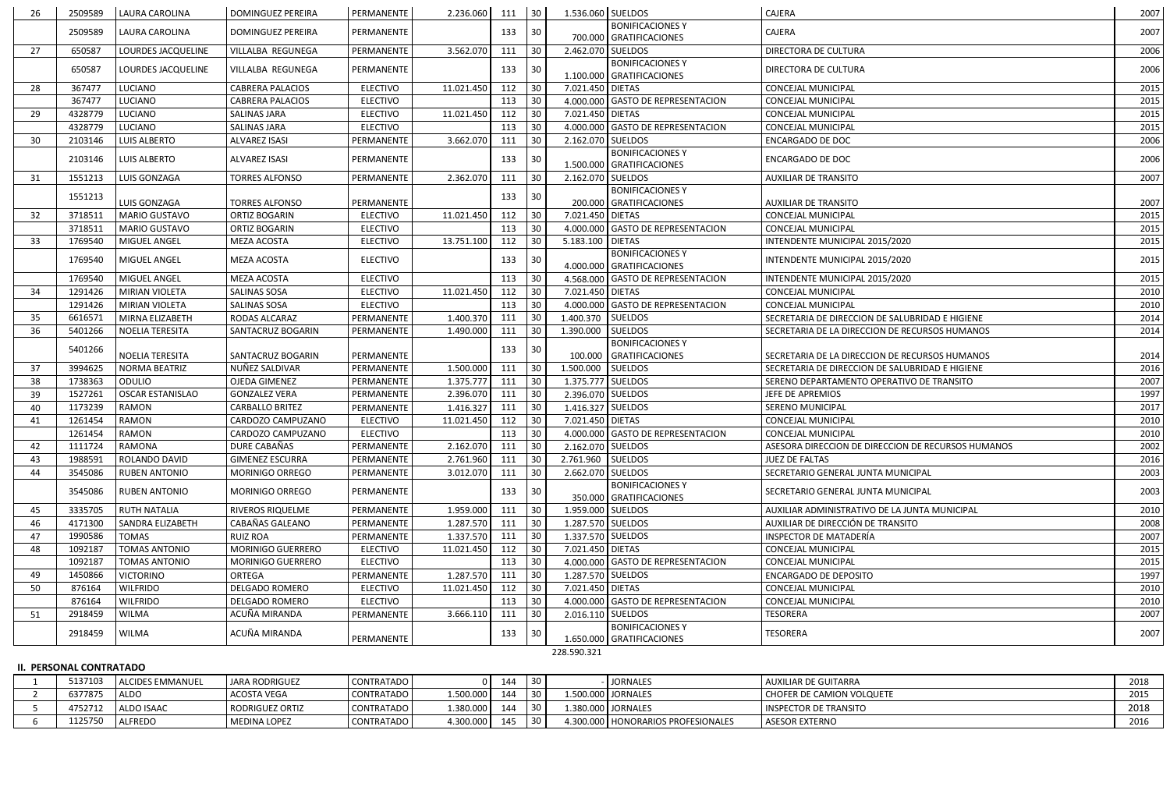| <b>BONIFICACIONES Y</b><br>2509589<br>30<br>CAJERA<br>2007<br>LAURA CAROLINA<br>DOMINGUEZ PEREIRA<br>PERMANENTE<br>133<br>700.000 GRATIFICACIONES<br>27<br>3.562.070<br>30<br>2.462.070 SUELDOS<br>650587<br>LOURDES JACQUELINE<br><b>VILLALBA REGUNEGA</b><br>PERMANENTE<br>111<br>DIRECTORA DE CULTURA<br><b>BONIFICACIONES Y</b><br>133<br>650587<br>LOURDES JACQUELINE<br>PERMANENTE<br>30<br>VILLALBA REGUNEGA<br>DIRECTORA DE CULTURA<br>1.100.000 GRATIFICACIONES<br>28<br>367477<br>112<br>30<br>LUCIANO<br><b>CABRERA PALACIOS</b><br><b>ELECTIVO</b><br>11.021.450<br>CONCEJAL MUNICIPAL<br>7.021.450 DIETAS<br><b>ELECTIVO</b><br>367477<br>LUCIANO<br><b>CABRERA PALACIOS</b><br>30<br>4.000.000 GASTO DE REPRESENTACION<br>CONCEJAL MUNICIPAL<br>113<br>29<br>4328779<br>LUCIANO<br>11.021.450<br>30<br>7.021.450 DIETAS<br><b>SALINAS JARA</b><br><b>ELECTIVO</b><br>112<br>CONCEJAL MUNICIPAL<br>30<br>4.000.000 GASTO DE REPRESENTACION<br>4328779<br>LUCIANO<br><b>SALINAS JARA</b><br><b>ELECTIVO</b><br>113<br>CONCEJAL MUNICIPAL<br>3.662.070<br>30<br>2103146<br><b>LUIS ALBERTO</b><br><b>ALVAREZ ISASI</b><br>PERMANENTE<br>111<br>2.162.070 SUELDOS<br>ENCARGADO DE DOC<br>30<br><b>BONIFICACIONES Y</b><br>30<br>2103146<br><b>LUIS ALBERTO</b><br><b>ALVAREZ ISASI</b><br>PERMANENTE<br>133<br><b>ENCARGADO DE DOC</b><br>1.500.000 GRATIFICACIONES<br>31<br>2007<br>1551213<br>LUIS GONZAGA<br><b>TORRES ALFONSO</b><br>PERMANENTE<br>2.362.070<br>111<br>2.162.070 SUELDOS<br><b>AUXILIAR DE TRANSITO</b><br>30<br><b>BONIFICACIONES Y</b><br>133<br>30<br>1551213<br>LUIS GONZAGA<br>2007<br><b>TORRES ALFONSO</b><br>PERMANENTE<br>200.000 GRATIFICACIONES<br><b>AUXILIAR DE TRANSITO</b><br>32<br>30 <sup>°</sup><br>7.021.450 DIETAS<br>3718511<br><b>MARIO GUSTAVO</b><br><b>ORTIZ BOGARIN</b><br>11.021.450<br>112<br>2015<br><b>ELECTIVO</b><br>CONCEJAL MUNICIPAL<br>3718511<br><b>ELECTIVO</b><br>113<br>30<br>4.000.000 GASTO DE REPRESENTACION<br><b>MARIO GUSTAVO</b><br><b>ORTIZ BOGARIN</b><br>CONCEJAL MUNICIPAL<br>13.751.100<br>112<br>5.183.100 DIETAS<br><b>ELECTIVO</b><br>30<br>33<br>1769540<br>MIGUEL ANGEL<br>MEZA ACOSTA<br>INTENDENTE MUNICIPAL 2015/2020<br><b>BONIFICACIONES Y</b><br>MIGUEL ANGEL<br><b>ELECTIVO</b><br>133<br>30<br>INTENDENTE MUNICIPAL 2015/2020<br>1769540<br>MEZA ACOSTA<br>4.000.000 GRATIFICACIONES<br>1769540<br>MIGUEL ANGEL<br>MEZA ACOSTA<br>4.568.000 GASTO DE REPRESENTACION<br><b>ELECTIVO</b><br>113<br>30<br>INTENDENTE MUNICIPAL 2015/2020<br>30 <sup>°</sup><br>34<br>1291426<br><b>MIRIAN VIOLETA</b><br><b>SALINAS SOSA</b><br><b>ELECTIVO</b><br>11.021.450<br>7.021.450 DIETAS<br>112<br><b>CONCEJAL MUNICIPAL</b><br>30<br>4.000.000 GASTO DE REPRESENTACION<br>1291426<br>MIRIAN VIOLETA<br><b>SALINAS SOSA</b><br><b>ELECTIVO</b><br>113<br>CONCEJAL MUNICIPAL<br>35<br>30<br>1.400.370 SUELDOS<br>6616571<br>1.400.370<br>111<br>MIRNA ELIZABETH<br>RODAS ALCARAZ<br>PERMANENTE<br>SECRETARIA DE DIRECCION DE SALUBRIDAD E HIGIENE<br>36<br><b>SUELDOS</b><br>111<br>30<br>2014<br>5401266<br>NOELIA TERESITA<br>SANTACRUZ BOGARIN<br>PERMANENTE<br>1.490.000<br>1.390.000<br>SECRETARIA DE LA DIRECCION DE RECURSOS HUMANOS<br><b>BONIFICACIONES Y</b><br>133<br>30<br>5401266<br><b>NOELIA TERESITA</b><br>PERMANENTE<br>100.000 GRATIFICACIONES<br>SECRETARIA DE LA DIRECCION DE RECURSOS HUMANOS<br>2014<br>SANTACRUZ BOGARIN<br>30 <sup>°</sup><br>3994625<br>1.500.000<br><b>SUELDOS</b><br>37<br>NORMA BEATRIZ<br>NUÑEZ SALDIVAR<br>1.500.000<br>111<br>SECRETARIA DE DIRECCION DE SALUBRIDAD E HIGIENE<br>PERMANENTE<br>30<br>1738363<br>1.375.777<br>1.375.777 SUELDOS<br>38<br><b>ODULIO</b><br><b>OJEDA GIMENEZ</b><br>PERMANENTE<br>111<br>SERENO DEPARTAMENTO OPERATIVO DE TRANSITO<br>39<br>1527261<br>OSCAR ESTANISLAO<br><b>GONZALEZ VERA</b><br>PERMANENTE<br>2.396.070<br>111<br>$ 30\rangle$<br>2.396.070 SUELDOS<br>JEFE DE APREMIOS<br>1.416.327 SUELDOS<br>1173239<br>30<br>RAMON<br><b>CARBALLO BRITEZ</b><br>PERMANENTE<br>1.416.327<br>111<br>SERENO MUNICIPAL<br>40<br>112<br>7.021.450 DIETAS<br>1261454<br>RAMON<br>CARDOZO CAMPUZANO<br><b>ELECTIVO</b><br>11.021.450<br>30<br>41<br>CONCEJAL MUNICIPAL<br>30<br>4.000.000 GASTO DE REPRESENTACION<br>1261454<br><b>RAMON</b><br>113<br>CARDOZO CAMPUZANO<br><b>ELECTIVO</b><br><b>CONCEJAL MUNICIPAL</b><br>DURE CABAÑAS<br>PERMANENTE<br>2.162.070<br>$ 30\rangle$<br>2.162.070 SUELDOS<br>1111724<br>RAMONA<br>ASESORA DIRECCION DE DIRECCION DE RECURSOS HUMANOS<br>42<br>111<br>$ 30\rangle$<br>2.761.960<br>111<br>2.761.960 SUELDOS<br>43<br>1988591<br>ROLANDO DAVID<br><b>GIMENEZ ESCURRA</b><br>PERMANENTE<br>JUEZ DE FALTAS<br>3.012.070<br>2.662.070 SUELDOS<br><b>RUBEN ANTONIO</b><br>MORINIGO ORREGO<br>PERMANENTE<br>111<br>30<br>44<br>3545086<br>SECRETARIO GENERAL JUNTA MUNICIPAL<br><b>BONIFICACIONES Y</b><br>133<br>3545086<br><b>RUBEN ANTONIO</b><br>MORINIGO ORREGO<br>PERMANENTE<br>30<br>SECRETARIO GENERAL JUNTA MUNICIPAL<br>350.000 GRATIFICACIONES<br>45<br>PERMANENTE<br>1.959.000<br>111<br>30<br>1.959.000 SUELDOS<br>3335705<br><b>RUTH NATALIA</b><br><b>RIVEROS RIQUELME</b><br>AUXILIAR ADMINISTRATIVO DE LA JUNTA MUNICIPAL<br>CABAÑAS GALEANO<br>30<br>1.287.570 SUELDOS<br>4171300<br>1.287.570<br>111<br>AUXILIAR DE DIRECCIÓN DE TRANSITO<br>46<br>SANDRA ELIZABETH<br>PERMANENTE<br>1.337.570<br>$\begin{array}{c} 30 \\ \end{array}$<br>1.337.570 SUELDOS<br>1990586<br><b>TOMAS</b><br><b>RUIZ ROA</b><br>PERMANENTE<br>111<br>INSPECTOR DE MATADERÍA<br>47<br>112<br>7.021.450 DIETAS<br>48<br><b>TOMAS ANTONIO</b><br>MORINIGO GUERRERO<br><b>ELECTIVO</b><br>11.021.450<br>30<br>1092187<br>CONCEJAL MUNICIPAL<br><b>ELECTIVO</b><br>113<br>4.000.000 GASTO DE REPRESENTACION<br>1092187<br><b>TOMAS ANTONIO</b><br><b>MORINIGO GUERRERO</b><br>30<br><b>CONCEJAL MUNICIPAL</b><br>1.287.570<br>1.287.570 SUELDOS<br>49<br><b>VICTORINO</b><br><b>ORTEGA</b><br>PERMANENTE<br>111<br>30<br>1450866<br><b>ENCARGADO DE DEPOSITO</b><br>112<br>30<br>50<br>876164<br><b>WILFRIDO</b><br><b>DELGADO ROMERO</b><br>11.021.450<br>7.021.450 DIETAS<br>CONCEJAL MUNICIPAL<br><b>ELECTIVO</b><br>30<br>876164<br><b>WILFRIDO</b><br><b>DELGADO ROMERO</b><br><b>ELECTIVO</b><br>113<br>4.000.000 GASTO DE REPRESENTACION<br><b>CONCEJAL MUNICIPAL</b><br>ACUÑA MIRANDA<br>3.666.110<br>2.016.110 SUELDOS<br><b>WILMA</b><br><b>TESORERA</b><br>2918459<br>PERMANENTE<br>111<br>30<br>51<br><b>BONIFICACIONES Y</b><br>ACUÑA MIRANDA<br>2918459<br><b>WILMA</b><br>133<br>TESORERA<br>30<br>PERMANENTE<br>1.650.000 GRATIFICACIONES | 26 | 2509589 | LAURA CAROLINA | DOMINGUEZ PEREIRA | PERMANENTE | 2.236.060 | $111$ 30 | 1.536.060 SUELDOS | CAJERA | 2007 |
|---------------------------------------------------------------------------------------------------------------------------------------------------------------------------------------------------------------------------------------------------------------------------------------------------------------------------------------------------------------------------------------------------------------------------------------------------------------------------------------------------------------------------------------------------------------------------------------------------------------------------------------------------------------------------------------------------------------------------------------------------------------------------------------------------------------------------------------------------------------------------------------------------------------------------------------------------------------------------------------------------------------------------------------------------------------------------------------------------------------------------------------------------------------------------------------------------------------------------------------------------------------------------------------------------------------------------------------------------------------------------------------------------------------------------------------------------------------------------------------------------------------------------------------------------------------------------------------------------------------------------------------------------------------------------------------------------------------------------------------------------------------------------------------------------------------------------------------------------------------------------------------------------------------------------------------------------------------------------------------------------------------------------------------------------------------------------------------------------------------------------------------------------------------------------------------------------------------------------------------------------------------------------------------------------------------------------------------------------------------------------------------------------------------------------------------------------------------------------------------------------------------------------------------------------------------------------------------------------------------------------------------------------------------------------------------------------------------------------------------------------------------------------------------------------------------------------------------------------------------------------------------------------------------------------------------------------------------------------------------------------------------------------------------------------------------------------------------------------------------------------------------------------------------------------------------------------------------------------------------------------------------------------------------------------------------------------------------------------------------------------------------------------------------------------------------------------------------------------------------------------------------------------------------------------------------------------------------------------------------------------------------------------------------------------------------------------------------------------------------------------------------------------------------------------------------------------------------------------------------------------------------------------------------------------------------------------------------------------------------------------------------------------------------------------------------------------------------------------------------------------------------------------------------------------------------------------------------------------------------------------------------------------------------------------------------------------------------------------------------------------------------------------------------------------------------------------------------------------------------------------------------------------------------------------------------------------------------------------------------------------------------------------------------------------------------------------------------------------------------------------------------------------------------------------------------------------------------------------------------------------------------------------------------------------------------------------------------------------------------------------------------------------------------------------------------------------------------------------------------------------------------------------------------------------------------------------------------------------------------------------------------------------------------------------------------------------------------------------------------------------------------------------------------------------------------------------------------------------------------------------------------------------------------------------------------------------------------------------------------------------------------------------------------------------------------------------------------------------------------------------------------------------------------------------------------------------------------------------------------------------------------------------------------------------------------------------------------------------------------------------------------------------------------------------------------------------------------------------------------------------------------------------------------------------------------------------------------------------------------------------------------------------------------------------------------------------------------------------------------------------------------------------------------------------------------------------------------------------------------------------------------------------------------------------------------------------------------------------------------------------------------------------------------|----|---------|----------------|-------------------|------------|-----------|----------|-------------------|--------|------|
| 2006<br>2006<br>2006<br>2014                                                                                                                                                                                                                                                                                                                                                                                                                                                                                                                                                                                                                                                                                                                                                                                                                                                                                                                                                                                                                                                                                                                                                                                                                                                                                                                                                                                                                                                                                                                                                                                                                                                                                                                                                                                                                                                                                                                                                                                                                                                                                                                                                                                                                                                                                                                                                                                                                                                                                                                                                                                                                                                                                                                                                                                                                                                                                                                                                                                                                                                                                                                                                                                                                                                                                                                                                                                                                                                                                                                                                                                                                                                                                                                                                                                                                                                                                                                                                                                                                                                                                                                                                                                                                                                                                                                                                                                                                                                                                                                                                                                                                                                                                                                                                                                                                                                                                                                                                                                                                                                                                                                                                                                                                                                                                                                                                                                                                                                                                                                                                                                                                                                                                                                                                                                                                                                                                                                                                                                                                                                                                                                                                                                                                                                                                                                                                                                                                                                                                                                                                                                                                                  |    |         |                |                   |            |           |          |                   |        |      |
|                                                                                                                                                                                                                                                                                                                                                                                                                                                                                                                                                                                                                                                                                                                                                                                                                                                                                                                                                                                                                                                                                                                                                                                                                                                                                                                                                                                                                                                                                                                                                                                                                                                                                                                                                                                                                                                                                                                                                                                                                                                                                                                                                                                                                                                                                                                                                                                                                                                                                                                                                                                                                                                                                                                                                                                                                                                                                                                                                                                                                                                                                                                                                                                                                                                                                                                                                                                                                                                                                                                                                                                                                                                                                                                                                                                                                                                                                                                                                                                                                                                                                                                                                                                                                                                                                                                                                                                                                                                                                                                                                                                                                                                                                                                                                                                                                                                                                                                                                                                                                                                                                                                                                                                                                                                                                                                                                                                                                                                                                                                                                                                                                                                                                                                                                                                                                                                                                                                                                                                                                                                                                                                                                                                                                                                                                                                                                                                                                                                                                                                                                                                                                                                               |    |         |                |                   |            |           |          |                   |        |      |
|                                                                                                                                                                                                                                                                                                                                                                                                                                                                                                                                                                                                                                                                                                                                                                                                                                                                                                                                                                                                                                                                                                                                                                                                                                                                                                                                                                                                                                                                                                                                                                                                                                                                                                                                                                                                                                                                                                                                                                                                                                                                                                                                                                                                                                                                                                                                                                                                                                                                                                                                                                                                                                                                                                                                                                                                                                                                                                                                                                                                                                                                                                                                                                                                                                                                                                                                                                                                                                                                                                                                                                                                                                                                                                                                                                                                                                                                                                                                                                                                                                                                                                                                                                                                                                                                                                                                                                                                                                                                                                                                                                                                                                                                                                                                                                                                                                                                                                                                                                                                                                                                                                                                                                                                                                                                                                                                                                                                                                                                                                                                                                                                                                                                                                                                                                                                                                                                                                                                                                                                                                                                                                                                                                                                                                                                                                                                                                                                                                                                                                                                                                                                                                                               |    |         |                |                   |            |           |          |                   |        |      |
|                                                                                                                                                                                                                                                                                                                                                                                                                                                                                                                                                                                                                                                                                                                                                                                                                                                                                                                                                                                                                                                                                                                                                                                                                                                                                                                                                                                                                                                                                                                                                                                                                                                                                                                                                                                                                                                                                                                                                                                                                                                                                                                                                                                                                                                                                                                                                                                                                                                                                                                                                                                                                                                                                                                                                                                                                                                                                                                                                                                                                                                                                                                                                                                                                                                                                                                                                                                                                                                                                                                                                                                                                                                                                                                                                                                                                                                                                                                                                                                                                                                                                                                                                                                                                                                                                                                                                                                                                                                                                                                                                                                                                                                                                                                                                                                                                                                                                                                                                                                                                                                                                                                                                                                                                                                                                                                                                                                                                                                                                                                                                                                                                                                                                                                                                                                                                                                                                                                                                                                                                                                                                                                                                                                                                                                                                                                                                                                                                                                                                                                                                                                                                                                               |    |         |                |                   |            |           |          |                   |        |      |
|                                                                                                                                                                                                                                                                                                                                                                                                                                                                                                                                                                                                                                                                                                                                                                                                                                                                                                                                                                                                                                                                                                                                                                                                                                                                                                                                                                                                                                                                                                                                                                                                                                                                                                                                                                                                                                                                                                                                                                                                                                                                                                                                                                                                                                                                                                                                                                                                                                                                                                                                                                                                                                                                                                                                                                                                                                                                                                                                                                                                                                                                                                                                                                                                                                                                                                                                                                                                                                                                                                                                                                                                                                                                                                                                                                                                                                                                                                                                                                                                                                                                                                                                                                                                                                                                                                                                                                                                                                                                                                                                                                                                                                                                                                                                                                                                                                                                                                                                                                                                                                                                                                                                                                                                                                                                                                                                                                                                                                                                                                                                                                                                                                                                                                                                                                                                                                                                                                                                                                                                                                                                                                                                                                                                                                                                                                                                                                                                                                                                                                                                                                                                                                                               |    |         |                |                   |            |           |          |                   |        | 2015 |
|                                                                                                                                                                                                                                                                                                                                                                                                                                                                                                                                                                                                                                                                                                                                                                                                                                                                                                                                                                                                                                                                                                                                                                                                                                                                                                                                                                                                                                                                                                                                                                                                                                                                                                                                                                                                                                                                                                                                                                                                                                                                                                                                                                                                                                                                                                                                                                                                                                                                                                                                                                                                                                                                                                                                                                                                                                                                                                                                                                                                                                                                                                                                                                                                                                                                                                                                                                                                                                                                                                                                                                                                                                                                                                                                                                                                                                                                                                                                                                                                                                                                                                                                                                                                                                                                                                                                                                                                                                                                                                                                                                                                                                                                                                                                                                                                                                                                                                                                                                                                                                                                                                                                                                                                                                                                                                                                                                                                                                                                                                                                                                                                                                                                                                                                                                                                                                                                                                                                                                                                                                                                                                                                                                                                                                                                                                                                                                                                                                                                                                                                                                                                                                                               |    |         |                |                   |            |           |          |                   |        | 2015 |
|                                                                                                                                                                                                                                                                                                                                                                                                                                                                                                                                                                                                                                                                                                                                                                                                                                                                                                                                                                                                                                                                                                                                                                                                                                                                                                                                                                                                                                                                                                                                                                                                                                                                                                                                                                                                                                                                                                                                                                                                                                                                                                                                                                                                                                                                                                                                                                                                                                                                                                                                                                                                                                                                                                                                                                                                                                                                                                                                                                                                                                                                                                                                                                                                                                                                                                                                                                                                                                                                                                                                                                                                                                                                                                                                                                                                                                                                                                                                                                                                                                                                                                                                                                                                                                                                                                                                                                                                                                                                                                                                                                                                                                                                                                                                                                                                                                                                                                                                                                                                                                                                                                                                                                                                                                                                                                                                                                                                                                                                                                                                                                                                                                                                                                                                                                                                                                                                                                                                                                                                                                                                                                                                                                                                                                                                                                                                                                                                                                                                                                                                                                                                                                                               |    |         |                |                   |            |           |          |                   |        | 2015 |
|                                                                                                                                                                                                                                                                                                                                                                                                                                                                                                                                                                                                                                                                                                                                                                                                                                                                                                                                                                                                                                                                                                                                                                                                                                                                                                                                                                                                                                                                                                                                                                                                                                                                                                                                                                                                                                                                                                                                                                                                                                                                                                                                                                                                                                                                                                                                                                                                                                                                                                                                                                                                                                                                                                                                                                                                                                                                                                                                                                                                                                                                                                                                                                                                                                                                                                                                                                                                                                                                                                                                                                                                                                                                                                                                                                                                                                                                                                                                                                                                                                                                                                                                                                                                                                                                                                                                                                                                                                                                                                                                                                                                                                                                                                                                                                                                                                                                                                                                                                                                                                                                                                                                                                                                                                                                                                                                                                                                                                                                                                                                                                                                                                                                                                                                                                                                                                                                                                                                                                                                                                                                                                                                                                                                                                                                                                                                                                                                                                                                                                                                                                                                                                                               |    |         |                |                   |            |           |          |                   |        | 2015 |
|                                                                                                                                                                                                                                                                                                                                                                                                                                                                                                                                                                                                                                                                                                                                                                                                                                                                                                                                                                                                                                                                                                                                                                                                                                                                                                                                                                                                                                                                                                                                                                                                                                                                                                                                                                                                                                                                                                                                                                                                                                                                                                                                                                                                                                                                                                                                                                                                                                                                                                                                                                                                                                                                                                                                                                                                                                                                                                                                                                                                                                                                                                                                                                                                                                                                                                                                                                                                                                                                                                                                                                                                                                                                                                                                                                                                                                                                                                                                                                                                                                                                                                                                                                                                                                                                                                                                                                                                                                                                                                                                                                                                                                                                                                                                                                                                                                                                                                                                                                                                                                                                                                                                                                                                                                                                                                                                                                                                                                                                                                                                                                                                                                                                                                                                                                                                                                                                                                                                                                                                                                                                                                                                                                                                                                                                                                                                                                                                                                                                                                                                                                                                                                                               |    |         |                |                   |            |           |          |                   |        | 2006 |
|                                                                                                                                                                                                                                                                                                                                                                                                                                                                                                                                                                                                                                                                                                                                                                                                                                                                                                                                                                                                                                                                                                                                                                                                                                                                                                                                                                                                                                                                                                                                                                                                                                                                                                                                                                                                                                                                                                                                                                                                                                                                                                                                                                                                                                                                                                                                                                                                                                                                                                                                                                                                                                                                                                                                                                                                                                                                                                                                                                                                                                                                                                                                                                                                                                                                                                                                                                                                                                                                                                                                                                                                                                                                                                                                                                                                                                                                                                                                                                                                                                                                                                                                                                                                                                                                                                                                                                                                                                                                                                                                                                                                                                                                                                                                                                                                                                                                                                                                                                                                                                                                                                                                                                                                                                                                                                                                                                                                                                                                                                                                                                                                                                                                                                                                                                                                                                                                                                                                                                                                                                                                                                                                                                                                                                                                                                                                                                                                                                                                                                                                                                                                                                                               |    |         |                |                   |            |           |          |                   |        |      |
|                                                                                                                                                                                                                                                                                                                                                                                                                                                                                                                                                                                                                                                                                                                                                                                                                                                                                                                                                                                                                                                                                                                                                                                                                                                                                                                                                                                                                                                                                                                                                                                                                                                                                                                                                                                                                                                                                                                                                                                                                                                                                                                                                                                                                                                                                                                                                                                                                                                                                                                                                                                                                                                                                                                                                                                                                                                                                                                                                                                                                                                                                                                                                                                                                                                                                                                                                                                                                                                                                                                                                                                                                                                                                                                                                                                                                                                                                                                                                                                                                                                                                                                                                                                                                                                                                                                                                                                                                                                                                                                                                                                                                                                                                                                                                                                                                                                                                                                                                                                                                                                                                                                                                                                                                                                                                                                                                                                                                                                                                                                                                                                                                                                                                                                                                                                                                                                                                                                                                                                                                                                                                                                                                                                                                                                                                                                                                                                                                                                                                                                                                                                                                                                               |    |         |                |                   |            |           |          |                   |        |      |
|                                                                                                                                                                                                                                                                                                                                                                                                                                                                                                                                                                                                                                                                                                                                                                                                                                                                                                                                                                                                                                                                                                                                                                                                                                                                                                                                                                                                                                                                                                                                                                                                                                                                                                                                                                                                                                                                                                                                                                                                                                                                                                                                                                                                                                                                                                                                                                                                                                                                                                                                                                                                                                                                                                                                                                                                                                                                                                                                                                                                                                                                                                                                                                                                                                                                                                                                                                                                                                                                                                                                                                                                                                                                                                                                                                                                                                                                                                                                                                                                                                                                                                                                                                                                                                                                                                                                                                                                                                                                                                                                                                                                                                                                                                                                                                                                                                                                                                                                                                                                                                                                                                                                                                                                                                                                                                                                                                                                                                                                                                                                                                                                                                                                                                                                                                                                                                                                                                                                                                                                                                                                                                                                                                                                                                                                                                                                                                                                                                                                                                                                                                                                                                                               |    |         |                |                   |            |           |          |                   |        |      |
|                                                                                                                                                                                                                                                                                                                                                                                                                                                                                                                                                                                                                                                                                                                                                                                                                                                                                                                                                                                                                                                                                                                                                                                                                                                                                                                                                                                                                                                                                                                                                                                                                                                                                                                                                                                                                                                                                                                                                                                                                                                                                                                                                                                                                                                                                                                                                                                                                                                                                                                                                                                                                                                                                                                                                                                                                                                                                                                                                                                                                                                                                                                                                                                                                                                                                                                                                                                                                                                                                                                                                                                                                                                                                                                                                                                                                                                                                                                                                                                                                                                                                                                                                                                                                                                                                                                                                                                                                                                                                                                                                                                                                                                                                                                                                                                                                                                                                                                                                                                                                                                                                                                                                                                                                                                                                                                                                                                                                                                                                                                                                                                                                                                                                                                                                                                                                                                                                                                                                                                                                                                                                                                                                                                                                                                                                                                                                                                                                                                                                                                                                                                                                                                               |    |         |                |                   |            |           |          |                   |        |      |
|                                                                                                                                                                                                                                                                                                                                                                                                                                                                                                                                                                                                                                                                                                                                                                                                                                                                                                                                                                                                                                                                                                                                                                                                                                                                                                                                                                                                                                                                                                                                                                                                                                                                                                                                                                                                                                                                                                                                                                                                                                                                                                                                                                                                                                                                                                                                                                                                                                                                                                                                                                                                                                                                                                                                                                                                                                                                                                                                                                                                                                                                                                                                                                                                                                                                                                                                                                                                                                                                                                                                                                                                                                                                                                                                                                                                                                                                                                                                                                                                                                                                                                                                                                                                                                                                                                                                                                                                                                                                                                                                                                                                                                                                                                                                                                                                                                                                                                                                                                                                                                                                                                                                                                                                                                                                                                                                                                                                                                                                                                                                                                                                                                                                                                                                                                                                                                                                                                                                                                                                                                                                                                                                                                                                                                                                                                                                                                                                                                                                                                                                                                                                                                                               |    |         |                |                   |            |           |          |                   |        | 2015 |
|                                                                                                                                                                                                                                                                                                                                                                                                                                                                                                                                                                                                                                                                                                                                                                                                                                                                                                                                                                                                                                                                                                                                                                                                                                                                                                                                                                                                                                                                                                                                                                                                                                                                                                                                                                                                                                                                                                                                                                                                                                                                                                                                                                                                                                                                                                                                                                                                                                                                                                                                                                                                                                                                                                                                                                                                                                                                                                                                                                                                                                                                                                                                                                                                                                                                                                                                                                                                                                                                                                                                                                                                                                                                                                                                                                                                                                                                                                                                                                                                                                                                                                                                                                                                                                                                                                                                                                                                                                                                                                                                                                                                                                                                                                                                                                                                                                                                                                                                                                                                                                                                                                                                                                                                                                                                                                                                                                                                                                                                                                                                                                                                                                                                                                                                                                                                                                                                                                                                                                                                                                                                                                                                                                                                                                                                                                                                                                                                                                                                                                                                                                                                                                                               |    |         |                |                   |            |           |          |                   |        | 2015 |
|                                                                                                                                                                                                                                                                                                                                                                                                                                                                                                                                                                                                                                                                                                                                                                                                                                                                                                                                                                                                                                                                                                                                                                                                                                                                                                                                                                                                                                                                                                                                                                                                                                                                                                                                                                                                                                                                                                                                                                                                                                                                                                                                                                                                                                                                                                                                                                                                                                                                                                                                                                                                                                                                                                                                                                                                                                                                                                                                                                                                                                                                                                                                                                                                                                                                                                                                                                                                                                                                                                                                                                                                                                                                                                                                                                                                                                                                                                                                                                                                                                                                                                                                                                                                                                                                                                                                                                                                                                                                                                                                                                                                                                                                                                                                                                                                                                                                                                                                                                                                                                                                                                                                                                                                                                                                                                                                                                                                                                                                                                                                                                                                                                                                                                                                                                                                                                                                                                                                                                                                                                                                                                                                                                                                                                                                                                                                                                                                                                                                                                                                                                                                                                                               |    |         |                |                   |            |           |          |                   |        | 2015 |
|                                                                                                                                                                                                                                                                                                                                                                                                                                                                                                                                                                                                                                                                                                                                                                                                                                                                                                                                                                                                                                                                                                                                                                                                                                                                                                                                                                                                                                                                                                                                                                                                                                                                                                                                                                                                                                                                                                                                                                                                                                                                                                                                                                                                                                                                                                                                                                                                                                                                                                                                                                                                                                                                                                                                                                                                                                                                                                                                                                                                                                                                                                                                                                                                                                                                                                                                                                                                                                                                                                                                                                                                                                                                                                                                                                                                                                                                                                                                                                                                                                                                                                                                                                                                                                                                                                                                                                                                                                                                                                                                                                                                                                                                                                                                                                                                                                                                                                                                                                                                                                                                                                                                                                                                                                                                                                                                                                                                                                                                                                                                                                                                                                                                                                                                                                                                                                                                                                                                                                                                                                                                                                                                                                                                                                                                                                                                                                                                                                                                                                                                                                                                                                                               |    |         |                |                   |            |           |          |                   |        | 2015 |
|                                                                                                                                                                                                                                                                                                                                                                                                                                                                                                                                                                                                                                                                                                                                                                                                                                                                                                                                                                                                                                                                                                                                                                                                                                                                                                                                                                                                                                                                                                                                                                                                                                                                                                                                                                                                                                                                                                                                                                                                                                                                                                                                                                                                                                                                                                                                                                                                                                                                                                                                                                                                                                                                                                                                                                                                                                                                                                                                                                                                                                                                                                                                                                                                                                                                                                                                                                                                                                                                                                                                                                                                                                                                                                                                                                                                                                                                                                                                                                                                                                                                                                                                                                                                                                                                                                                                                                                                                                                                                                                                                                                                                                                                                                                                                                                                                                                                                                                                                                                                                                                                                                                                                                                                                                                                                                                                                                                                                                                                                                                                                                                                                                                                                                                                                                                                                                                                                                                                                                                                                                                                                                                                                                                                                                                                                                                                                                                                                                                                                                                                                                                                                                                               |    |         |                |                   |            |           |          |                   |        | 2010 |
|                                                                                                                                                                                                                                                                                                                                                                                                                                                                                                                                                                                                                                                                                                                                                                                                                                                                                                                                                                                                                                                                                                                                                                                                                                                                                                                                                                                                                                                                                                                                                                                                                                                                                                                                                                                                                                                                                                                                                                                                                                                                                                                                                                                                                                                                                                                                                                                                                                                                                                                                                                                                                                                                                                                                                                                                                                                                                                                                                                                                                                                                                                                                                                                                                                                                                                                                                                                                                                                                                                                                                                                                                                                                                                                                                                                                                                                                                                                                                                                                                                                                                                                                                                                                                                                                                                                                                                                                                                                                                                                                                                                                                                                                                                                                                                                                                                                                                                                                                                                                                                                                                                                                                                                                                                                                                                                                                                                                                                                                                                                                                                                                                                                                                                                                                                                                                                                                                                                                                                                                                                                                                                                                                                                                                                                                                                                                                                                                                                                                                                                                                                                                                                                               |    |         |                |                   |            |           |          |                   |        | 2010 |
|                                                                                                                                                                                                                                                                                                                                                                                                                                                                                                                                                                                                                                                                                                                                                                                                                                                                                                                                                                                                                                                                                                                                                                                                                                                                                                                                                                                                                                                                                                                                                                                                                                                                                                                                                                                                                                                                                                                                                                                                                                                                                                                                                                                                                                                                                                                                                                                                                                                                                                                                                                                                                                                                                                                                                                                                                                                                                                                                                                                                                                                                                                                                                                                                                                                                                                                                                                                                                                                                                                                                                                                                                                                                                                                                                                                                                                                                                                                                                                                                                                                                                                                                                                                                                                                                                                                                                                                                                                                                                                                                                                                                                                                                                                                                                                                                                                                                                                                                                                                                                                                                                                                                                                                                                                                                                                                                                                                                                                                                                                                                                                                                                                                                                                                                                                                                                                                                                                                                                                                                                                                                                                                                                                                                                                                                                                                                                                                                                                                                                                                                                                                                                                                               |    |         |                |                   |            |           |          |                   |        |      |
|                                                                                                                                                                                                                                                                                                                                                                                                                                                                                                                                                                                                                                                                                                                                                                                                                                                                                                                                                                                                                                                                                                                                                                                                                                                                                                                                                                                                                                                                                                                                                                                                                                                                                                                                                                                                                                                                                                                                                                                                                                                                                                                                                                                                                                                                                                                                                                                                                                                                                                                                                                                                                                                                                                                                                                                                                                                                                                                                                                                                                                                                                                                                                                                                                                                                                                                                                                                                                                                                                                                                                                                                                                                                                                                                                                                                                                                                                                                                                                                                                                                                                                                                                                                                                                                                                                                                                                                                                                                                                                                                                                                                                                                                                                                                                                                                                                                                                                                                                                                                                                                                                                                                                                                                                                                                                                                                                                                                                                                                                                                                                                                                                                                                                                                                                                                                                                                                                                                                                                                                                                                                                                                                                                                                                                                                                                                                                                                                                                                                                                                                                                                                                                                               |    |         |                |                   |            |           |          |                   |        |      |
|                                                                                                                                                                                                                                                                                                                                                                                                                                                                                                                                                                                                                                                                                                                                                                                                                                                                                                                                                                                                                                                                                                                                                                                                                                                                                                                                                                                                                                                                                                                                                                                                                                                                                                                                                                                                                                                                                                                                                                                                                                                                                                                                                                                                                                                                                                                                                                                                                                                                                                                                                                                                                                                                                                                                                                                                                                                                                                                                                                                                                                                                                                                                                                                                                                                                                                                                                                                                                                                                                                                                                                                                                                                                                                                                                                                                                                                                                                                                                                                                                                                                                                                                                                                                                                                                                                                                                                                                                                                                                                                                                                                                                                                                                                                                                                                                                                                                                                                                                                                                                                                                                                                                                                                                                                                                                                                                                                                                                                                                                                                                                                                                                                                                                                                                                                                                                                                                                                                                                                                                                                                                                                                                                                                                                                                                                                                                                                                                                                                                                                                                                                                                                                                               |    |         |                |                   |            |           |          |                   |        |      |
|                                                                                                                                                                                                                                                                                                                                                                                                                                                                                                                                                                                                                                                                                                                                                                                                                                                                                                                                                                                                                                                                                                                                                                                                                                                                                                                                                                                                                                                                                                                                                                                                                                                                                                                                                                                                                                                                                                                                                                                                                                                                                                                                                                                                                                                                                                                                                                                                                                                                                                                                                                                                                                                                                                                                                                                                                                                                                                                                                                                                                                                                                                                                                                                                                                                                                                                                                                                                                                                                                                                                                                                                                                                                                                                                                                                                                                                                                                                                                                                                                                                                                                                                                                                                                                                                                                                                                                                                                                                                                                                                                                                                                                                                                                                                                                                                                                                                                                                                                                                                                                                                                                                                                                                                                                                                                                                                                                                                                                                                                                                                                                                                                                                                                                                                                                                                                                                                                                                                                                                                                                                                                                                                                                                                                                                                                                                                                                                                                                                                                                                                                                                                                                                               |    |         |                |                   |            |           |          |                   |        | 2016 |
|                                                                                                                                                                                                                                                                                                                                                                                                                                                                                                                                                                                                                                                                                                                                                                                                                                                                                                                                                                                                                                                                                                                                                                                                                                                                                                                                                                                                                                                                                                                                                                                                                                                                                                                                                                                                                                                                                                                                                                                                                                                                                                                                                                                                                                                                                                                                                                                                                                                                                                                                                                                                                                                                                                                                                                                                                                                                                                                                                                                                                                                                                                                                                                                                                                                                                                                                                                                                                                                                                                                                                                                                                                                                                                                                                                                                                                                                                                                                                                                                                                                                                                                                                                                                                                                                                                                                                                                                                                                                                                                                                                                                                                                                                                                                                                                                                                                                                                                                                                                                                                                                                                                                                                                                                                                                                                                                                                                                                                                                                                                                                                                                                                                                                                                                                                                                                                                                                                                                                                                                                                                                                                                                                                                                                                                                                                                                                                                                                                                                                                                                                                                                                                                               |    |         |                |                   |            |           |          |                   |        | 2007 |
|                                                                                                                                                                                                                                                                                                                                                                                                                                                                                                                                                                                                                                                                                                                                                                                                                                                                                                                                                                                                                                                                                                                                                                                                                                                                                                                                                                                                                                                                                                                                                                                                                                                                                                                                                                                                                                                                                                                                                                                                                                                                                                                                                                                                                                                                                                                                                                                                                                                                                                                                                                                                                                                                                                                                                                                                                                                                                                                                                                                                                                                                                                                                                                                                                                                                                                                                                                                                                                                                                                                                                                                                                                                                                                                                                                                                                                                                                                                                                                                                                                                                                                                                                                                                                                                                                                                                                                                                                                                                                                                                                                                                                                                                                                                                                                                                                                                                                                                                                                                                                                                                                                                                                                                                                                                                                                                                                                                                                                                                                                                                                                                                                                                                                                                                                                                                                                                                                                                                                                                                                                                                                                                                                                                                                                                                                                                                                                                                                                                                                                                                                                                                                                                               |    |         |                |                   |            |           |          |                   |        | 1997 |
|                                                                                                                                                                                                                                                                                                                                                                                                                                                                                                                                                                                                                                                                                                                                                                                                                                                                                                                                                                                                                                                                                                                                                                                                                                                                                                                                                                                                                                                                                                                                                                                                                                                                                                                                                                                                                                                                                                                                                                                                                                                                                                                                                                                                                                                                                                                                                                                                                                                                                                                                                                                                                                                                                                                                                                                                                                                                                                                                                                                                                                                                                                                                                                                                                                                                                                                                                                                                                                                                                                                                                                                                                                                                                                                                                                                                                                                                                                                                                                                                                                                                                                                                                                                                                                                                                                                                                                                                                                                                                                                                                                                                                                                                                                                                                                                                                                                                                                                                                                                                                                                                                                                                                                                                                                                                                                                                                                                                                                                                                                                                                                                                                                                                                                                                                                                                                                                                                                                                                                                                                                                                                                                                                                                                                                                                                                                                                                                                                                                                                                                                                                                                                                                               |    |         |                |                   |            |           |          |                   |        | 2017 |
|                                                                                                                                                                                                                                                                                                                                                                                                                                                                                                                                                                                                                                                                                                                                                                                                                                                                                                                                                                                                                                                                                                                                                                                                                                                                                                                                                                                                                                                                                                                                                                                                                                                                                                                                                                                                                                                                                                                                                                                                                                                                                                                                                                                                                                                                                                                                                                                                                                                                                                                                                                                                                                                                                                                                                                                                                                                                                                                                                                                                                                                                                                                                                                                                                                                                                                                                                                                                                                                                                                                                                                                                                                                                                                                                                                                                                                                                                                                                                                                                                                                                                                                                                                                                                                                                                                                                                                                                                                                                                                                                                                                                                                                                                                                                                                                                                                                                                                                                                                                                                                                                                                                                                                                                                                                                                                                                                                                                                                                                                                                                                                                                                                                                                                                                                                                                                                                                                                                                                                                                                                                                                                                                                                                                                                                                                                                                                                                                                                                                                                                                                                                                                                                               |    |         |                |                   |            |           |          |                   |        | 2010 |
|                                                                                                                                                                                                                                                                                                                                                                                                                                                                                                                                                                                                                                                                                                                                                                                                                                                                                                                                                                                                                                                                                                                                                                                                                                                                                                                                                                                                                                                                                                                                                                                                                                                                                                                                                                                                                                                                                                                                                                                                                                                                                                                                                                                                                                                                                                                                                                                                                                                                                                                                                                                                                                                                                                                                                                                                                                                                                                                                                                                                                                                                                                                                                                                                                                                                                                                                                                                                                                                                                                                                                                                                                                                                                                                                                                                                                                                                                                                                                                                                                                                                                                                                                                                                                                                                                                                                                                                                                                                                                                                                                                                                                                                                                                                                                                                                                                                                                                                                                                                                                                                                                                                                                                                                                                                                                                                                                                                                                                                                                                                                                                                                                                                                                                                                                                                                                                                                                                                                                                                                                                                                                                                                                                                                                                                                                                                                                                                                                                                                                                                                                                                                                                                               |    |         |                |                   |            |           |          |                   |        | 2010 |
|                                                                                                                                                                                                                                                                                                                                                                                                                                                                                                                                                                                                                                                                                                                                                                                                                                                                                                                                                                                                                                                                                                                                                                                                                                                                                                                                                                                                                                                                                                                                                                                                                                                                                                                                                                                                                                                                                                                                                                                                                                                                                                                                                                                                                                                                                                                                                                                                                                                                                                                                                                                                                                                                                                                                                                                                                                                                                                                                                                                                                                                                                                                                                                                                                                                                                                                                                                                                                                                                                                                                                                                                                                                                                                                                                                                                                                                                                                                                                                                                                                                                                                                                                                                                                                                                                                                                                                                                                                                                                                                                                                                                                                                                                                                                                                                                                                                                                                                                                                                                                                                                                                                                                                                                                                                                                                                                                                                                                                                                                                                                                                                                                                                                                                                                                                                                                                                                                                                                                                                                                                                                                                                                                                                                                                                                                                                                                                                                                                                                                                                                                                                                                                                               |    |         |                |                   |            |           |          |                   |        | 2002 |
|                                                                                                                                                                                                                                                                                                                                                                                                                                                                                                                                                                                                                                                                                                                                                                                                                                                                                                                                                                                                                                                                                                                                                                                                                                                                                                                                                                                                                                                                                                                                                                                                                                                                                                                                                                                                                                                                                                                                                                                                                                                                                                                                                                                                                                                                                                                                                                                                                                                                                                                                                                                                                                                                                                                                                                                                                                                                                                                                                                                                                                                                                                                                                                                                                                                                                                                                                                                                                                                                                                                                                                                                                                                                                                                                                                                                                                                                                                                                                                                                                                                                                                                                                                                                                                                                                                                                                                                                                                                                                                                                                                                                                                                                                                                                                                                                                                                                                                                                                                                                                                                                                                                                                                                                                                                                                                                                                                                                                                                                                                                                                                                                                                                                                                                                                                                                                                                                                                                                                                                                                                                                                                                                                                                                                                                                                                                                                                                                                                                                                                                                                                                                                                                               |    |         |                |                   |            |           |          |                   |        | 2016 |
|                                                                                                                                                                                                                                                                                                                                                                                                                                                                                                                                                                                                                                                                                                                                                                                                                                                                                                                                                                                                                                                                                                                                                                                                                                                                                                                                                                                                                                                                                                                                                                                                                                                                                                                                                                                                                                                                                                                                                                                                                                                                                                                                                                                                                                                                                                                                                                                                                                                                                                                                                                                                                                                                                                                                                                                                                                                                                                                                                                                                                                                                                                                                                                                                                                                                                                                                                                                                                                                                                                                                                                                                                                                                                                                                                                                                                                                                                                                                                                                                                                                                                                                                                                                                                                                                                                                                                                                                                                                                                                                                                                                                                                                                                                                                                                                                                                                                                                                                                                                                                                                                                                                                                                                                                                                                                                                                                                                                                                                                                                                                                                                                                                                                                                                                                                                                                                                                                                                                                                                                                                                                                                                                                                                                                                                                                                                                                                                                                                                                                                                                                                                                                                                               |    |         |                |                   |            |           |          |                   |        | 2003 |
|                                                                                                                                                                                                                                                                                                                                                                                                                                                                                                                                                                                                                                                                                                                                                                                                                                                                                                                                                                                                                                                                                                                                                                                                                                                                                                                                                                                                                                                                                                                                                                                                                                                                                                                                                                                                                                                                                                                                                                                                                                                                                                                                                                                                                                                                                                                                                                                                                                                                                                                                                                                                                                                                                                                                                                                                                                                                                                                                                                                                                                                                                                                                                                                                                                                                                                                                                                                                                                                                                                                                                                                                                                                                                                                                                                                                                                                                                                                                                                                                                                                                                                                                                                                                                                                                                                                                                                                                                                                                                                                                                                                                                                                                                                                                                                                                                                                                                                                                                                                                                                                                                                                                                                                                                                                                                                                                                                                                                                                                                                                                                                                                                                                                                                                                                                                                                                                                                                                                                                                                                                                                                                                                                                                                                                                                                                                                                                                                                                                                                                                                                                                                                                                               |    |         |                |                   |            |           |          |                   |        | 2003 |
|                                                                                                                                                                                                                                                                                                                                                                                                                                                                                                                                                                                                                                                                                                                                                                                                                                                                                                                                                                                                                                                                                                                                                                                                                                                                                                                                                                                                                                                                                                                                                                                                                                                                                                                                                                                                                                                                                                                                                                                                                                                                                                                                                                                                                                                                                                                                                                                                                                                                                                                                                                                                                                                                                                                                                                                                                                                                                                                                                                                                                                                                                                                                                                                                                                                                                                                                                                                                                                                                                                                                                                                                                                                                                                                                                                                                                                                                                                                                                                                                                                                                                                                                                                                                                                                                                                                                                                                                                                                                                                                                                                                                                                                                                                                                                                                                                                                                                                                                                                                                                                                                                                                                                                                                                                                                                                                                                                                                                                                                                                                                                                                                                                                                                                                                                                                                                                                                                                                                                                                                                                                                                                                                                                                                                                                                                                                                                                                                                                                                                                                                                                                                                                                               |    |         |                |                   |            |           |          |                   |        | 2010 |
|                                                                                                                                                                                                                                                                                                                                                                                                                                                                                                                                                                                                                                                                                                                                                                                                                                                                                                                                                                                                                                                                                                                                                                                                                                                                                                                                                                                                                                                                                                                                                                                                                                                                                                                                                                                                                                                                                                                                                                                                                                                                                                                                                                                                                                                                                                                                                                                                                                                                                                                                                                                                                                                                                                                                                                                                                                                                                                                                                                                                                                                                                                                                                                                                                                                                                                                                                                                                                                                                                                                                                                                                                                                                                                                                                                                                                                                                                                                                                                                                                                                                                                                                                                                                                                                                                                                                                                                                                                                                                                                                                                                                                                                                                                                                                                                                                                                                                                                                                                                                                                                                                                                                                                                                                                                                                                                                                                                                                                                                                                                                                                                                                                                                                                                                                                                                                                                                                                                                                                                                                                                                                                                                                                                                                                                                                                                                                                                                                                                                                                                                                                                                                                                               |    |         |                |                   |            |           |          |                   |        | 2008 |
|                                                                                                                                                                                                                                                                                                                                                                                                                                                                                                                                                                                                                                                                                                                                                                                                                                                                                                                                                                                                                                                                                                                                                                                                                                                                                                                                                                                                                                                                                                                                                                                                                                                                                                                                                                                                                                                                                                                                                                                                                                                                                                                                                                                                                                                                                                                                                                                                                                                                                                                                                                                                                                                                                                                                                                                                                                                                                                                                                                                                                                                                                                                                                                                                                                                                                                                                                                                                                                                                                                                                                                                                                                                                                                                                                                                                                                                                                                                                                                                                                                                                                                                                                                                                                                                                                                                                                                                                                                                                                                                                                                                                                                                                                                                                                                                                                                                                                                                                                                                                                                                                                                                                                                                                                                                                                                                                                                                                                                                                                                                                                                                                                                                                                                                                                                                                                                                                                                                                                                                                                                                                                                                                                                                                                                                                                                                                                                                                                                                                                                                                                                                                                                                               |    |         |                |                   |            |           |          |                   |        | 2007 |
|                                                                                                                                                                                                                                                                                                                                                                                                                                                                                                                                                                                                                                                                                                                                                                                                                                                                                                                                                                                                                                                                                                                                                                                                                                                                                                                                                                                                                                                                                                                                                                                                                                                                                                                                                                                                                                                                                                                                                                                                                                                                                                                                                                                                                                                                                                                                                                                                                                                                                                                                                                                                                                                                                                                                                                                                                                                                                                                                                                                                                                                                                                                                                                                                                                                                                                                                                                                                                                                                                                                                                                                                                                                                                                                                                                                                                                                                                                                                                                                                                                                                                                                                                                                                                                                                                                                                                                                                                                                                                                                                                                                                                                                                                                                                                                                                                                                                                                                                                                                                                                                                                                                                                                                                                                                                                                                                                                                                                                                                                                                                                                                                                                                                                                                                                                                                                                                                                                                                                                                                                                                                                                                                                                                                                                                                                                                                                                                                                                                                                                                                                                                                                                                               |    |         |                |                   |            |           |          |                   |        | 2015 |
|                                                                                                                                                                                                                                                                                                                                                                                                                                                                                                                                                                                                                                                                                                                                                                                                                                                                                                                                                                                                                                                                                                                                                                                                                                                                                                                                                                                                                                                                                                                                                                                                                                                                                                                                                                                                                                                                                                                                                                                                                                                                                                                                                                                                                                                                                                                                                                                                                                                                                                                                                                                                                                                                                                                                                                                                                                                                                                                                                                                                                                                                                                                                                                                                                                                                                                                                                                                                                                                                                                                                                                                                                                                                                                                                                                                                                                                                                                                                                                                                                                                                                                                                                                                                                                                                                                                                                                                                                                                                                                                                                                                                                                                                                                                                                                                                                                                                                                                                                                                                                                                                                                                                                                                                                                                                                                                                                                                                                                                                                                                                                                                                                                                                                                                                                                                                                                                                                                                                                                                                                                                                                                                                                                                                                                                                                                                                                                                                                                                                                                                                                                                                                                                               |    |         |                |                   |            |           |          |                   |        | 2015 |
|                                                                                                                                                                                                                                                                                                                                                                                                                                                                                                                                                                                                                                                                                                                                                                                                                                                                                                                                                                                                                                                                                                                                                                                                                                                                                                                                                                                                                                                                                                                                                                                                                                                                                                                                                                                                                                                                                                                                                                                                                                                                                                                                                                                                                                                                                                                                                                                                                                                                                                                                                                                                                                                                                                                                                                                                                                                                                                                                                                                                                                                                                                                                                                                                                                                                                                                                                                                                                                                                                                                                                                                                                                                                                                                                                                                                                                                                                                                                                                                                                                                                                                                                                                                                                                                                                                                                                                                                                                                                                                                                                                                                                                                                                                                                                                                                                                                                                                                                                                                                                                                                                                                                                                                                                                                                                                                                                                                                                                                                                                                                                                                                                                                                                                                                                                                                                                                                                                                                                                                                                                                                                                                                                                                                                                                                                                                                                                                                                                                                                                                                                                                                                                                               |    |         |                |                   |            |           |          |                   |        | 1997 |
|                                                                                                                                                                                                                                                                                                                                                                                                                                                                                                                                                                                                                                                                                                                                                                                                                                                                                                                                                                                                                                                                                                                                                                                                                                                                                                                                                                                                                                                                                                                                                                                                                                                                                                                                                                                                                                                                                                                                                                                                                                                                                                                                                                                                                                                                                                                                                                                                                                                                                                                                                                                                                                                                                                                                                                                                                                                                                                                                                                                                                                                                                                                                                                                                                                                                                                                                                                                                                                                                                                                                                                                                                                                                                                                                                                                                                                                                                                                                                                                                                                                                                                                                                                                                                                                                                                                                                                                                                                                                                                                                                                                                                                                                                                                                                                                                                                                                                                                                                                                                                                                                                                                                                                                                                                                                                                                                                                                                                                                                                                                                                                                                                                                                                                                                                                                                                                                                                                                                                                                                                                                                                                                                                                                                                                                                                                                                                                                                                                                                                                                                                                                                                                                               |    |         |                |                   |            |           |          |                   |        | 2010 |
|                                                                                                                                                                                                                                                                                                                                                                                                                                                                                                                                                                                                                                                                                                                                                                                                                                                                                                                                                                                                                                                                                                                                                                                                                                                                                                                                                                                                                                                                                                                                                                                                                                                                                                                                                                                                                                                                                                                                                                                                                                                                                                                                                                                                                                                                                                                                                                                                                                                                                                                                                                                                                                                                                                                                                                                                                                                                                                                                                                                                                                                                                                                                                                                                                                                                                                                                                                                                                                                                                                                                                                                                                                                                                                                                                                                                                                                                                                                                                                                                                                                                                                                                                                                                                                                                                                                                                                                                                                                                                                                                                                                                                                                                                                                                                                                                                                                                                                                                                                                                                                                                                                                                                                                                                                                                                                                                                                                                                                                                                                                                                                                                                                                                                                                                                                                                                                                                                                                                                                                                                                                                                                                                                                                                                                                                                                                                                                                                                                                                                                                                                                                                                                                               |    |         |                |                   |            |           |          |                   |        | 2010 |
|                                                                                                                                                                                                                                                                                                                                                                                                                                                                                                                                                                                                                                                                                                                                                                                                                                                                                                                                                                                                                                                                                                                                                                                                                                                                                                                                                                                                                                                                                                                                                                                                                                                                                                                                                                                                                                                                                                                                                                                                                                                                                                                                                                                                                                                                                                                                                                                                                                                                                                                                                                                                                                                                                                                                                                                                                                                                                                                                                                                                                                                                                                                                                                                                                                                                                                                                                                                                                                                                                                                                                                                                                                                                                                                                                                                                                                                                                                                                                                                                                                                                                                                                                                                                                                                                                                                                                                                                                                                                                                                                                                                                                                                                                                                                                                                                                                                                                                                                                                                                                                                                                                                                                                                                                                                                                                                                                                                                                                                                                                                                                                                                                                                                                                                                                                                                                                                                                                                                                                                                                                                                                                                                                                                                                                                                                                                                                                                                                                                                                                                                                                                                                                                               |    |         |                |                   |            |           |          |                   |        | 2007 |
|                                                                                                                                                                                                                                                                                                                                                                                                                                                                                                                                                                                                                                                                                                                                                                                                                                                                                                                                                                                                                                                                                                                                                                                                                                                                                                                                                                                                                                                                                                                                                                                                                                                                                                                                                                                                                                                                                                                                                                                                                                                                                                                                                                                                                                                                                                                                                                                                                                                                                                                                                                                                                                                                                                                                                                                                                                                                                                                                                                                                                                                                                                                                                                                                                                                                                                                                                                                                                                                                                                                                                                                                                                                                                                                                                                                                                                                                                                                                                                                                                                                                                                                                                                                                                                                                                                                                                                                                                                                                                                                                                                                                                                                                                                                                                                                                                                                                                                                                                                                                                                                                                                                                                                                                                                                                                                                                                                                                                                                                                                                                                                                                                                                                                                                                                                                                                                                                                                                                                                                                                                                                                                                                                                                                                                                                                                                                                                                                                                                                                                                                                                                                                                                               |    |         |                |                   |            |           |          |                   |        | 2007 |

#### **II. PERSONAL CONTRATADO**

| 5137103 | <b>LALCIDES EMMANUEL</b> | <b>JARA RODRIGUEZ</b> | CONTRATADO        |           | 144              | JU |               | <b>JORNALES</b>                      | I AUXILIAR DE GUITARRA        |         |
|---------|--------------------------|-----------------------|-------------------|-----------|------------------|----|---------------|--------------------------------------|-------------------------------|---------|
| 6377875 | <b>ALDO</b>              | <b>ACOSTA VEGA</b>    | <b>CONTRATADO</b> | .500.000  | 144              |    | <b>EOO OO</b> | JORNALES                             | CHOFER DE CAMION VOLQUETE     |         |
| 4752712 | ALDO ISAAC               | RODRIGUEZ ORTIZ       | <b>CONTRATADO</b> | 1.380.000 | 144              |    | .380.000      | <b>JORNALES</b>                      | <b>LINSPECTOR DE TRANSITO</b> | 2 U 1 0 |
| 1125750 | ALFREDO                  | <b>MEDINA LOPEZ</b>   | <b>CONTRATADO</b> | 4.300.000 | 4.0 <sub>0</sub> |    |               | 4.300.000   HONORARIOS PROFESIONALES | <b>ASESOR EXTERNO</b>         |         |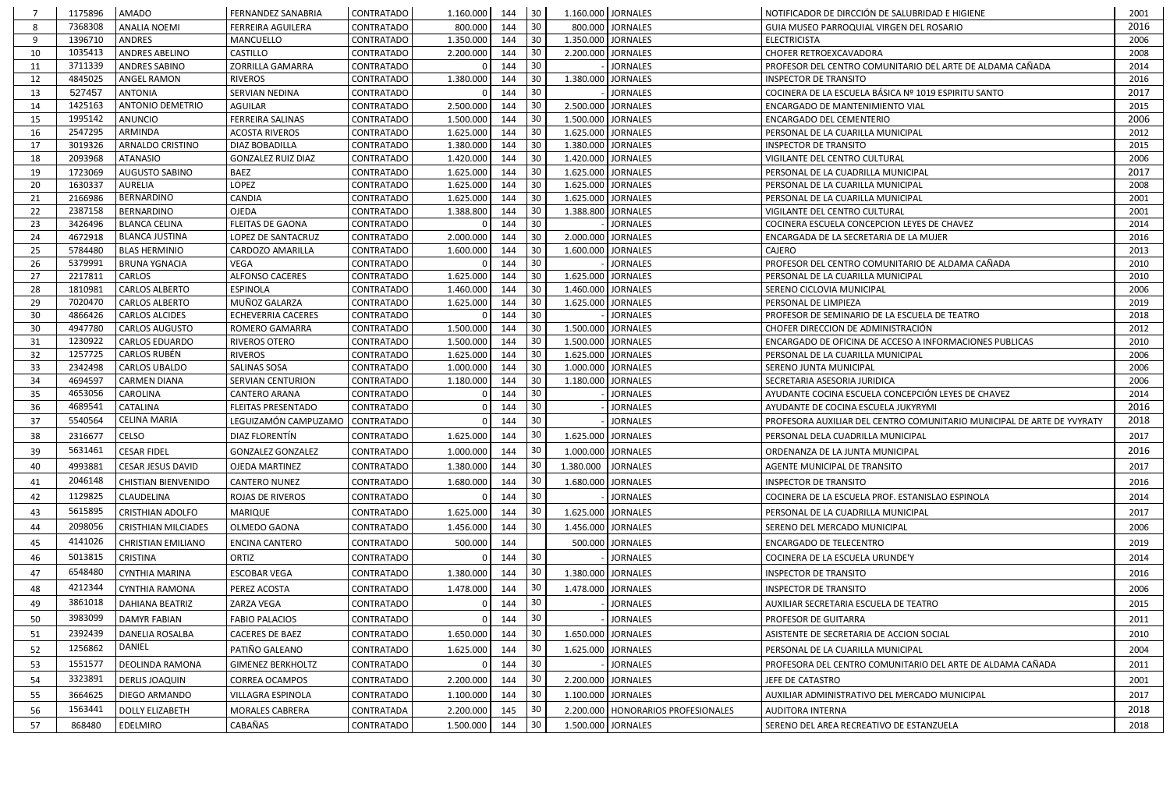|          | 1175896            | AMADO                          | <b>FERNANDEZ SANABRIA</b>      | <b>CONTRATADO</b>               | 1.160.000              | 144        | 30           |                        | 1.160.000 JORNALES                   | NOTIFICADOR DE DIRCCIÓN DE SALUBRIDAD E HIGIENE                        | 2001         |
|----------|--------------------|--------------------------------|--------------------------------|---------------------------------|------------------------|------------|--------------|------------------------|--------------------------------------|------------------------------------------------------------------------|--------------|
|          | 7368308            | <b>ANALIA NOEMI</b>            | <b>FERREIRA AGUILERA</b>       | CONTRATADO                      | 800.000                | 144        | 30           |                        | 800.000 JORNALES                     | GUIA MUSEO PARROQUIAL VIRGEN DEL ROSARIO                               | 2016         |
| -9       | 1396710            | <b>ANDRES</b>                  | MANCUELLO                      | CONTRATADO                      | 1.350.000              | 144        | 30           | 1.350.000              | <b>JORNALES</b>                      | <b>ELECTRICISTA</b>                                                    | 2006         |
| 10       | 1035413            | <b>ANDRES ABELINO</b>          | CASTILLO                       | CONTRATADO                      | 2.200.000              | 144        | 30           |                        | 2.200.000   JORNALES                 | CHOFER RETROEXCAVADORA                                                 | 2008         |
| 11       | 3711339            | <b>ANDRES SABINO</b>           | ZORRILLA GAMARRA               | CONTRATADO                      |                        | 144        | 30           |                        | <b>JORNALES</b>                      | PROFESOR DEL CENTRO COMUNITARIO DEL ARTE DE ALDAMA CAÑADA              | 2014         |
| 12       | 4845025            | ANGEL RAMON                    | <b>RIVEROS</b>                 | <b>CONTRATADO</b>               | 1.380.000              | 144        | 30           |                        | 1.380.000 JORNALES                   | <b>INSPECTOR DE TRANSITO</b>                                           | 2016         |
| 13       | 527457             | <b>ANTONIA</b>                 | SERVIAN NEDINA                 | CONTRATADO                      |                        | 144        | 30           |                        | <b>JORNALES</b>                      | COCINERA DE LA ESCUELA BÁSICA Nº 1019 ESPIRITU SANTO                   | 2017         |
| 14       | 1425163            | <b>ANTONIO DEMETRIO</b>        | <b>AGUILAR</b>                 | CONTRATADO                      | 2.500.000              | 144        | 30           |                        | 2.500.000 JORNALES                   | ENCARGADO DE MANTENIMIENTO VIAL                                        | 2015         |
| 15       | 1995142            | ANUNCIO                        | <b>FERREIRA SALINAS</b>        | <b>CONTRATADO</b>               | 1.500.000              | 144        | 30           | 1.500.000              | <b>JORNALES</b>                      | ENCARGADO DEL CEMENTERIO                                               | 2006         |
| 16       | 2547295            | ARMINDA                        | <b>ACOSTA RIVEROS</b>          | CONTRATADO                      | 1.625.000              | 144        | 30           | 1.625.000              | <b>JORNALES</b>                      | PERSONAL DE LA CUARILLA MUNICIPAL                                      | 2012         |
| 17       | 3019326            | ARNALDO CRISTINO               | DIAZ BOBADILLA                 | CONTRATADO                      | 1.380.000              | 144        | 30           | 1.380.000              | <b>JORNALES</b>                      | <b>INSPECTOR DE TRANSITO</b>                                           | 2015         |
| 18       | 2093968            | <b>ATANASIO</b>                | <b>GONZALEZ RUIZ DIAZ</b>      | CONTRATADO                      | 1.420.000              | 144        | 30           | 1.420.000              | <b>JORNALES</b>                      | VIGILANTE DEL CENTRO CULTURAL                                          | 2006         |
| 19       | 1723069            | <b>AUGUSTO SABINO</b>          | <b>BAEZ</b>                    | CONTRATADO                      | 1.625.000              | 144        | 30           | 1.625.000              | <b>JORNALES</b>                      | PERSONAL DE LA CUADRILLA MUNICIPAL                                     | 2017         |
| 20       | 1630337            | <b>AURELIA</b>                 | <b>LOPEZ</b>                   | CONTRATADO                      | 1.625.000              | 144        | 30           | 1.625.000              | <b>JORNALES</b>                      | PERSONAL DE LA CUARILLA MUNICIPAL                                      | 2008         |
| 21       | 2166986            | <b>BERNARDINO</b>              | CANDIA                         | CONTRATADO                      | 1.625.000              | 144        | 30           | 1.625.000              | <b>JORNALES</b>                      | PERSONAL DE LA CUARILLA MUNICIPAL                                      | 2001         |
| 22       | 2387158            | BERNARDINO                     | <b>OJEDA</b>                   | CONTRATADO                      | 1.388.800              | 144        | 30           |                        | 1.388.800 JORNALES                   | VIGILANTE DEL CENTRO CULTURAL                                          | 2001         |
| 23       | 3426496            | <b>BLANCA CELINA</b>           | <b>FLEITAS DE GAONA</b>        | CONTRATADO                      |                        | 144        | 30           |                        | <b>JORNALES</b>                      | COCINERA ESCUELA CONCEPCION LEYES DE CHAVEZ                            | 2014         |
| 24       | 4672918            | <b>BLANCA JUSTINA</b>          | LOPEZ DE SANTACRUZ             | <b>CONTRATADO</b>               | 2.000.000              | 144        | 30           | 2.000.000              | <b>JORNALES</b>                      | ENCARGADA DE LA SECRETARIA DE LA MUJER                                 | 2016         |
| 25       | 5784480            | <b>BLAS HERMINIO</b>           | CARDOZO AMARILLA               | CONTRATADO                      | 1.600.000              | 144        | 30           | 1.600.000              | <b>JORNALES</b>                      | CAJERO                                                                 | 2013         |
| 26       | 5379991            | <b>BRUNA YGNACIA</b><br>CARLOS | VEGA<br><b>ALFONSO CACERES</b> | CONTRATADO<br><b>CONTRATADO</b> |                        | 144<br>144 | 30           |                        | <b>JORNALES</b>                      | PROFESOR DEL CENTRO COMUNITARIO DE ALDAMA CAÑADA                       | 2010         |
| 27<br>28 | 2217811<br>1810981 | <b>CARLOS ALBERTO</b>          | <b>ESPINOLA</b>                | CONTRATADO                      | 1.625.000<br>1.460.000 | 144        | 30<br>30     | 1.625.000<br>1.460.000 | <b>JORNALES</b><br>JORNALES          | PERSONAL DE LA CUARILLA MUNICIPAL                                      | 2010<br>2006 |
| 29       | 7020470            | <b>CARLOS ALBERTO</b>          | MUÑOZ GALARZA                  | CONTRATADO                      | 1.625.000              | 144        | 30           | 1.625.000              | <b>JORNALES</b>                      | SERENO CICLOVIA MUNICIPAL<br>PERSONAL DE LIMPIEZA                      | 2019         |
| 30       | 4866426            | CARLOS ALCIDES                 | <b>ECHEVERRIA CACERES</b>      | CONTRATADO                      |                        | 144        | 30           |                        | <b>JORNALES</b>                      | PROFESOR DE SEMINARIO DE LA ESCUELA DE TEATRO                          | 2018         |
| 30       | 4947780            | CARLOS AUGUSTO                 | ROMERO GAMARRA                 | CONTRATADO                      | 1.500.000              | 144        | 30           | 1.500.000              | <b>JORNALES</b>                      | CHOFER DIRECCION DE ADMINISTRACIÓN                                     | 2012         |
| 31       | 1230922            | CARLOS EDUARDO                 | RIVEROS OTERO                  | CONTRATADO                      | 1.500.000              | 144        | 30           | 1.500.000              | <b>JORNALES</b>                      | ENCARGADO DE OFICINA DE ACCESO A INFORMACIONES PUBLICAS                | 2010         |
| 32       | 1257725            | <b>CARLOS RUBÉN</b>            | <b>RIVEROS</b>                 | CONTRATADO                      | 1.625.000              | 144        | 30           | 1.625.000              | <b>JORNALES</b>                      | PERSONAL DE LA CUARILLA MUNICIPAL                                      | 2006         |
| 33       | 2342498            | CARLOS UBALDO                  | SALINAS SOSA                   | CONTRATADO                      | 1.000.000              | 144        | 30           | 1.000.000              | <b>JORNALES</b>                      | SERENO JUNTA MUNICIPAL                                                 | 2006         |
| 34       | 4694597            | <b>CARMEN DIANA</b>            | SERVIAN CENTURION              | CONTRATADO                      | 1.180.000              | 144        | 30           | 1.180.000              | <b>JORNALES</b>                      | SECRETARIA ASESORIA JURIDICA                                           | 2006         |
| 35       | 4653056            | CAROLINA                       | <b>CANTERO ARANA</b>           | CONTRATADO                      |                        | 144        | 30           |                        | <b>JORNALES</b>                      | AYUDANTE COCINA ESCUELA CONCEPCIÓN LEYES DE CHAVEZ                     | 2014         |
| 36       | 4689541            | CATALINA                       | <b>FLEITAS PRESENTADO</b>      | CONTRATADO                      |                        | 144        | 30           |                        | <b>JORNALES</b>                      | AYUDANTE DE COCINA ESCUELA JUKYRYMI                                    | 2016         |
| 37       | 5540564            | CELINA MARIA                   | LEGUIZAMÓN CAMPUZAMO           | <b>CONTRATADO</b>               |                        | 144        | 30           |                        | <b>JORNALES</b>                      | PROFESORA AUXILIAR DEL CENTRO COMUNITARIO MUNICIPAL DE ARTE DE YVYRATY | 2018         |
| 38       | 2316677            | CELSO                          | DIAZ FLORENTÍN                 | <b>CONTRATADO</b>               | 1.625.000              | 144        | 30           | 1.625.000 JORNALES     |                                      | PERSONAL DELA CUADRILLA MUNICIPAL                                      | 2017         |
| 39       | 5631461            | <b>CESAR FIDEL</b>             | <b>GONZALEZ GONZALEZ</b>       | CONTRATADO                      | 1.000.000              | 144        | $ 30\rangle$ |                        | 1.000.000 JORNALES                   | ORDENANZA DE LA JUNTA MUNICIPAL                                        | 2016         |
| 40       | 4993881            | CESAR JESUS DAVID              | OJEDA MARTINEZ                 | CONTRATADO                      | 1.380.000              | 144        | 30           | 1.380.000              | <b>JORNALES</b>                      | AGENTE MUNICIPAL DE TRANSITO                                           | 2017         |
| 41       | 2046148            | <b>CHISTIAN BIENVENIDO</b>     | <b>CANTERO NUNEZ</b>           | CONTRATADO                      | 1.680.000              | 144        | 30           |                        | 1.680.000 JORNALES                   | <b>INSPECTOR DE TRANSITO</b>                                           | 2016         |
| 42       | 1129825            | CLAUDELINA                     | <b>ROJAS DE RIVEROS</b>        | CONTRATADO                      |                        | 144        | 30           |                        | <b>JORNALES</b>                      | COCINERA DE LA ESCUELA PROF. ESTANISLAO ESPINOLA                       | 2014         |
| 43       | 5615895            | CRISTHIAN ADOLFO               | MARIQUE                        | CONTRATADO                      | 1.625.000              | 144        | 30           |                        | 1.625.000 JORNALES                   | PERSONAL DE LA CUADRILLA MUNICIPAL                                     | 2017         |
|          | 2098056            |                                |                                |                                 |                        |            |              |                        |                                      |                                                                        |              |
| 44       |                    | <b>CRISTHIAN MILCIADES</b>     | OLMEDO GAONA                   | CONTRATADO                      | 1.456.000              | 144        | 30           |                        | 1.456.000 JORNALES                   | SERENO DEL MERCADO MUNICIPAL                                           | 2006         |
| 45       | 4141026            | <b>CHRISTIAN EMILIANO</b>      | <b>ENCINA CANTERO</b>          | CONTRATADO                      | 500.000                | 144        |              |                        | 500.000 JORNALES                     | <b>ENCARGADO DE TELECENTRO</b>                                         | 2019         |
| 46       | 5013815            | <b>CRISTINA</b>                | ORTIZ                          | CONTRATADO                      |                        | 144        | 30           |                        | <b>JORNALES</b>                      | COCINERA DE LA ESCUELA URUNDE'Y                                        | 2014         |
| 47       | 6548480            | CYNTHIA MARINA                 | <b>ESCOBAR VEGA</b>            | CONTRATADO                      | 1.380.000              | 144        | 30           |                        | 1.380.000 JORNALES                   | <b>INSPECTOR DE TRANSITO</b>                                           | 2016         |
| 48       | 4212344            | <b>CYNTHIA RAMONA</b>          | PEREZ ACOSTA                   | CONTRATADO                      | 1.478.000              | 144        | 30           |                        | 1.478.000 JORNALES                   | <b>INSPECTOR DE TRANSITO</b>                                           | 2006         |
| 49       | 3861018            | DAHIANA BEATRIZ                | ZARZA VEGA                     | CONTRATADO                      |                        | 144        | 30           |                        | <b>JORNALES</b>                      | AUXILIAR SECRETARIA ESCUELA DE TEATRO                                  | 2015         |
| 50       | 3983099            | <b>DAMYR FABIAN</b>            | <b>FABIO PALACIOS</b>          | CONTRATADO                      |                        | 144        | 30           |                        | <b>JORNALES</b>                      | PROFESOR DE GUITARRA                                                   | 2011         |
| 51       | 2392439            | DANELIA ROSALBA                | <b>CACERES DE BAEZ</b>         | CONTRATADO                      | 1.650.000              | 144        | 30           |                        | 1.650.000 JORNALES                   | ASISTENTE DE SECRETARIA DE ACCION SOCIAL                               | 2010         |
| 52       | 1256862            | DANIEL                         | PATIÑO GALEANO                 | <b>CONTRATADO</b>               | 1.625.000              | 144        | 30           |                        | 1.625.000 JORNALES                   | PERSONAL DE LA CUARILLA MUNICIPAL                                      | 2004         |
| 53       | 1551577            | DEOLINDA RAMONA                | <b>GIMENEZ BERKHOLTZ</b>       | CONTRATADO                      |                        | 144        | 30           |                        | <b>JORNALES</b>                      | PROFESORA DEL CENTRO COMUNITARIO DEL ARTE DE ALDAMA CAÑADA             | 2011         |
| 54       | 3323891            | <b>DERLIS JOAQUIN</b>          | <b>CORREA OCAMPOS</b>          | CONTRATADO                      | 2.200.000              | 144        | 30           |                        | 2.200.000 JORNALES                   | JEFE DE CATASTRO                                                       | 2001         |
| 55       | 3664625            | DIEGO ARMANDO                  | VILLAGRA ESPINOLA              | <b>CONTRATADO</b>               | 1.100.000              | 144        | 30           |                        | 1.100.000   JORNALES                 | AUXILIAR ADMINISTRATIVO DEL MERCADO MUNICIPAL                          | 2017         |
|          | 1563441            |                                |                                |                                 |                        |            |              |                        |                                      |                                                                        |              |
| 56       |                    | <b>DOLLY ELIZABETH</b>         | <b>MORALES CABRERA</b>         | <b>CONTRATADA</b>               | 2.200.000              | 145        | 30           |                        | 2.200.000   HONORARIOS PROFESIONALES | AUDITORA INTERNA                                                       | 2018         |
| 57       | 868480             | EDELMIRO                       | CABAÑAS                        | <b>CONTRATADO</b>               | 1.500.000              | 144        | 30           |                        | 1.500.000 JORNALES                   | SERENO DEL AREA RECREATIVO DE ESTANZUELA                               | 2018         |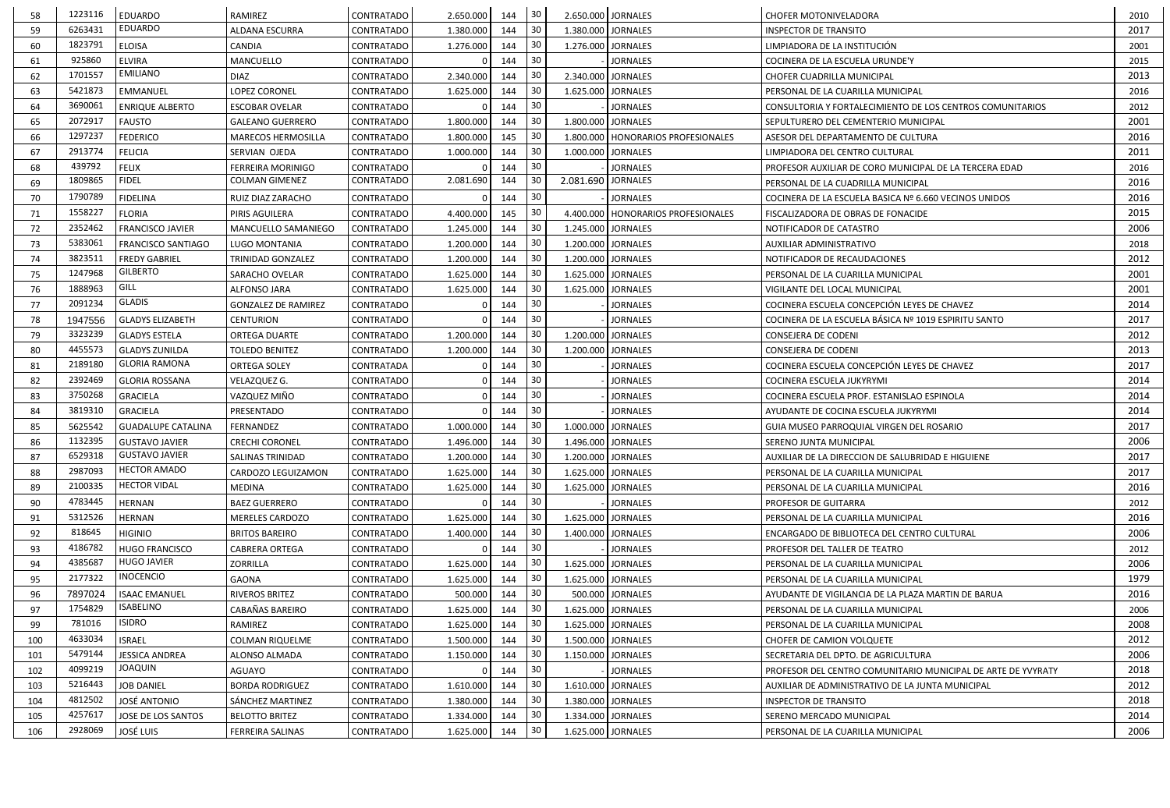| 58  | 1223116 | <b>EDUARDO</b>            | RAMIREZ                    | CONTRATADO        | 2.650.000 | 144 | 30  |                    | 2.650.000 JORNALES                   | CHOFER MOTONIVELADORA                                        | 2010 |
|-----|---------|---------------------------|----------------------------|-------------------|-----------|-----|-----|--------------------|--------------------------------------|--------------------------------------------------------------|------|
| 59  | 6263431 | <b>EDUARDO</b>            | <b>ALDANA ESCURRA</b>      | <b>CONTRATADO</b> | 1.380.000 | 144 | 30  | 1.380.000 JORNALES |                                      | <b>INSPECTOR DE TRANSITO</b>                                 | 2017 |
| 60  | 1823791 | <b>ELOISA</b>             | CANDIA                     | <b>CONTRATADO</b> | 1.276.000 | 144 | 30  |                    | 1.276.000 JORNALES                   | LIMPIADORA DE LA INSTITUCIÓN                                 | 2001 |
| 61  | 925860  | <b>ELVIRA</b>             | MANCUELLO                  | <b>CONTRATADO</b> |           | 144 | 30  |                    | <b>JORNALES</b>                      | COCINERA DE LA ESCUELA URUNDE'Y                              | 2015 |
| 62  | 1701557 | <b>EMILIANO</b>           | <b>DIAZ</b>                | <b>CONTRATADO</b> | 2.340.000 | 144 | 30  |                    | 2.340.000 JORNALES                   | CHOFER CUADRILLA MUNICIPAL                                   | 2013 |
| 63  | 5421873 | <b>EMMANUEL</b>           | LOPEZ CORONEL              | <b>CONTRATADO</b> | 1.625.000 | 144 | 30  |                    | 1.625.000 JORNALES                   | PERSONAL DE LA CUARILLA MUNICIPAL                            | 2016 |
| 64  | 3690061 | <b>ENRIQUE ALBERTO</b>    | <b>ESCOBAR OVELAR</b>      | <b>CONTRATADO</b> |           | 144 | 30  |                    | <b>JORNALES</b>                      | CONSULTORIA Y FORTALECIMIENTO DE LOS CENTROS COMUNITARIOS    | 2012 |
| 65  | 2072917 | <b>FAUSTO</b>             | <b>GALEANO GUERRERO</b>    | CONTRATADO        | 1.800.000 | 144 | 30  |                    | 1.800.000 JORNALES                   | SEPULTURERO DEL CEMENTERIO MUNICIPAL                         | 2001 |
| 66  | 1297237 | <b>FEDERICO</b>           | <b>MARECOS HERMOSILLA</b>  | <b>CONTRATADO</b> | 1.800.000 | 145 | 30  |                    | 1.800.000 HONORARIOS PROFESIONALES   | ASESOR DEL DEPARTAMENTO DE CULTURA                           | 2016 |
| 67  | 2913774 | <b>FELICIA</b>            | SERVIAN OJEDA              | <b>CONTRATADO</b> | 1.000.000 | 144 | 30  | 1.000.000 JORNALES |                                      | LIMPIADORA DEL CENTRO CULTURAL                               | 2011 |
| 68  | 439792  | <b>FELIX</b>              | <b>FERREIRA MORINIGO</b>   | <b>CONTRATADO</b> |           | 144 | 30  |                    | <b>JORNALES</b>                      | PROFESOR AUXILIAR DE CORO MUNICIPAL DE LA TERCERA EDAD       | 2016 |
| 69  | 1809865 | <b>FIDEL</b>              | <b>COLMAN GIMENEZ</b>      | <b>CONTRATADO</b> | 2.081.690 | 144 | 30  | 2.081.690 JORNALES |                                      | PERSONAL DE LA CUADRILLA MUNICIPAL                           | 2016 |
| 70  | 1790789 | <b>FIDELINA</b>           | RUIZ DIAZ ZARACHO          | <b>CONTRATADO</b> |           | 144 | 30  |                    | <b>JORNALES</b>                      | COCINERA DE LA ESCUELA BASICA Nº 6.660 VECINOS UNIDOS        | 2016 |
| 71  | 1558227 | <b>FLORIA</b>             | PIRIS AGUILERA             | <b>CONTRATADO</b> | 4.400.000 | 145 | 30  |                    | 4.400.000   HONORARIOS PROFESIONALES | FISCALIZADORA DE OBRAS DE FONACIDE                           | 2015 |
| 72  | 2352462 | FRANCISCO JAVIER          | MANCUELLO SAMANIEGO        | <b>CONTRATADO</b> | 1.245.000 | 144 | 30  |                    | 1.245.000 JORNALES                   | NOTIFICADOR DE CATASTRO                                      | 2006 |
| 73  | 5383061 | FRANCISCO SANTIAGO        | LUGO MONTANIA              | <b>CONTRATADO</b> | 1.200.000 | 144 | 30  |                    | 1.200.000 JORNALES                   | AUXILIAR ADMINISTRATIVO                                      | 2018 |
| 74  | 3823511 | <b>FREDY GABRIEL</b>      | <b>TRINIDAD GONZALEZ</b>   | <b>CONTRATADO</b> | 1.200.000 | 144 | 30  |                    | 1.200.000 JORNALES                   | NOTIFICADOR DE RECAUDACIONES                                 | 2012 |
| 75  | 1247968 | <b>GILBERTO</b>           | SARACHO OVELAR             | CONTRATADO        | 1.625.000 | 144 | 30  |                    | 1.625.000 JORNALES                   | PERSONAL DE LA CUARILLA MUNICIPAL                            | 2001 |
| 76  | 1888963 | GILL                      | ALFONSO JARA               | <b>CONTRATADO</b> | 1.625.000 | 144 | 30  | 1.625.000 JORNALES |                                      | VIGILANTE DEL LOCAL MUNICIPAL                                | 2001 |
| 77  | 2091234 | <b>GLADIS</b>             | <b>GONZALEZ DE RAMIREZ</b> | <b>CONTRATADO</b> |           | 144 | 30  |                    | <b>JORNALES</b>                      | COCINERA ESCUELA CONCEPCIÓN LEYES DE CHAVEZ                  | 2014 |
| 78  | 1947556 | <b>GLADYS ELIZABETH</b>   | <b>CENTURION</b>           | <b>CONTRATADO</b> |           | 144 | 30  |                    | <b>JORNALES</b>                      | COCINERA DE LA ESCUELA BÁSICA Nº 1019 ESPIRITU SANTO         | 2017 |
| 79  | 3323239 | <b>GLADYS ESTELA</b>      | <b>ORTEGA DUARTE</b>       | <b>CONTRATADO</b> | 1.200.000 | 144 | 30  |                    | 1.200.000 JORNALES                   | CONSEJERA DE CODENI                                          | 2012 |
| 80  | 4455573 | <b>GLADYS ZUNILDA</b>     | <b>TOLEDO BENITEZ</b>      | <b>CONTRATADO</b> | 1.200.000 | 144 | 30  |                    | 1.200.000 JORNALES                   | CONSEJERA DE CODENI                                          | 2013 |
| 81  | 2189180 | <b>GLORIA RAMONA</b>      | <b>ORTEGA SOLEY</b>        | CONTRATADA        |           | 144 | 30  |                    | <b>JORNALES</b>                      | COCINERA ESCUELA CONCEPCIÓN LEYES DE CHAVEZ                  | 2017 |
| 82  | 2392469 | <b>GLORIA ROSSANA</b>     | VELAZQUEZ G.               | <b>CONTRATADO</b> |           | 144 | 30  |                    | <b>JORNALES</b>                      | COCINERA ESCUELA JUKYRYMI                                    | 2014 |
| 83  | 3750268 | <b>GRACIELA</b>           | VAZQUEZ MIÑO               | CONTRATADO        |           | 144 | 30  |                    | <b>JORNALES</b>                      | COCINERA ESCUELA PROF. ESTANISLAO ESPINOLA                   | 2014 |
| 84  | 3819310 | GRACIELA                  | PRESENTADO                 | CONTRATADO        |           | 144 | 30  |                    | <b>JORNALES</b>                      | AYUDANTE DE COCINA ESCUELA JUKYRYMI                          | 2014 |
| 85  | 5625542 | <b>GUADALUPE CATALINA</b> | FERNANDEZ                  | CONTRATADO        | 1.000.000 | 144 | 30  | 1.000.000 JORNALES |                                      | GUIA MUSEO PARROQUIAL VIRGEN DEL ROSARIO                     | 2017 |
| 86  | 1132395 | <b>GUSTAVO JAVIER</b>     | <b>CRECHI CORONEL</b>      | <b>CONTRATADO</b> | 1.496.000 | 144 | 30  |                    | 1.496.000 JORNALES                   | SERENO JUNTA MUNICIPAL                                       | 2006 |
| 87  | 6529318 | <b>GUSTAVO JAVIER</b>     | SALINAS TRINIDAD           | CONTRATADO        | 1.200.000 | 144 | 30  | 1.200.000 JORNALES |                                      | AUXILIAR DE LA DIRECCION DE SALUBRIDAD E HIGUIENE            | 2017 |
| 88  | 2987093 | <b>HECTOR AMADO</b>       | CARDOZO LEGUIZAMON         | CONTRATADO        | 1.625.000 | 144 | 30  |                    | 1.625.000 JORNALES                   | PERSONAL DE LA CUARILLA MUNICIPAL                            | 2017 |
| 89  | 2100335 | <b>HECTOR VIDAL</b>       | MEDINA                     | CONTRATADO        | 1.625.000 | 144 | 30  |                    | 1.625.000 JORNALES                   | PERSONAL DE LA CUARILLA MUNICIPAL                            | 2016 |
| 90  | 4783445 | <b>HERNAN</b>             | <b>BAEZ GUERRERO</b>       | CONTRATADO        |           | 144 | 30  |                    | <b>JORNALES</b>                      | PROFESOR DE GUITARRA                                         | 2012 |
| 91  | 5312526 | <b>HERNAN</b>             | <b>MERELES CARDOZO</b>     | CONTRATADO        | 1.625.000 | 144 | 30  |                    | 1.625.000 JORNALES                   | PERSONAL DE LA CUARILLA MUNICIPAL                            | 2016 |
| 92  | 818645  | <b>HIGINIO</b>            | <b>BRITOS BAREIRO</b>      | CONTRATADO        | 1.400.000 | 144 | 30  |                    | 1.400.000 JORNALES                   | ENCARGADO DE BIBLIOTECA DEL CENTRO CULTURAL                  | 2006 |
| 93  | 4186782 | <b>HUGO FRANCISCO</b>     | <b>CABRERA ORTEGA</b>      | CONTRATADO        |           | 144 | 30  |                    | <b>JORNALES</b>                      | PROFESOR DEL TALLER DE TEATRO                                | 2012 |
| 94  | 4385687 | <b>HUGO JAVIER</b>        | <b>ZORRILLA</b>            | CONTRATADO        | 1.625.000 | 144 | 30  | 1.625.000 JORNALES |                                      | PERSONAL DE LA CUARILLA MUNICIPAL                            | 2006 |
| 95  | 2177322 | <b>INOCENCIO</b>          | <b>GAONA</b>               | CONTRATADO        | 1.625.000 | 144 | 30  |                    | 1.625.000 JORNALES                   | PERSONAL DE LA CUARILLA MUNICIPAL                            | 1979 |
| 96  | 7897024 | <b>ISAAC EMANUEL</b>      | RIVEROS BRITEZ             | CONTRATADO        | 500.000   | 144 | 30  |                    | 500.000 JORNALES                     | AYUDANTE DE VIGILANCIA DE LA PLAZA MARTIN DE BARUA           | 2016 |
| 97  | 1754829 | <b>ISABELINO</b>          | CABAÑAS BAREIRO            | CONTRATADO        | 1.625.000 | 144 | 30  |                    | 1.625.000 JORNALES                   | PERSONAL DE LA CUARILLA MUNICIPAL                            | 2006 |
| 99  | 781016  | <b>ISIDRO</b>             | RAMIREZ                    | CONTRATADO        | 1.625.000 | 144 | -30 |                    | 1.625.000 JORNALES                   | PERSONAL DE LA CUARILLA MUNICIPAL                            | 2008 |
| 100 | 4633034 | <b>ISRAEL</b>             | <b>COLMAN RIQUELME</b>     | CONTRATADO        | 1.500.000 | 144 | 30  |                    | 1.500.000 JORNALES                   | CHOFER DE CAMION VOLQUETE                                    | 2012 |
| 101 | 5479144 | <b>JESSICA ANDREA</b>     | ALONSO ALMADA              | CONTRATADO        | 1.150.000 | 144 | 30  |                    | 1.150.000 JORNALES                   | SECRETARIA DEL DPTO. DE AGRICULTURA                          | 2006 |
| 102 | 4099219 | <b>JOAQUIN</b>            | AGUAYO                     | CONTRATADO        |           | 144 | 30  |                    | <b>JORNALES</b>                      | PROFESOR DEL CENTRO COMUNITARIO MUNICIPAL DE ARTE DE YVYRATY | 2018 |
| 103 | 5216443 | <b>JOB DANIEL</b>         | <b>BORDA RODRIGUEZ</b>     | <b>CONTRATADO</b> | 1.610.000 | 144 | 30  |                    | 1.610.000 JORNALES                   | AUXILIAR DE ADMINISTRATIVO DE LA JUNTA MUNICIPAL             | 2012 |
| 104 | 4812502 | <b>JOSÉ ANTONIO</b>       | SÁNCHEZ MARTINEZ           | CONTRATADO        | 1.380.000 | 144 | 30  |                    | 1.380.000 JORNALES                   | INSPECTOR DE TRANSITO                                        | 2018 |
| 105 | 4257617 | JOSE DE LOS SANTOS        | <b>BELOTTO BRITEZ</b>      | CONTRATADO        | 1.334.000 | 144 | 30  |                    | 1.334.000 JORNALES                   | SERENO MERCADO MUNICIPAL                                     | 2014 |
| 106 | 2928069 | <b>JOSÉ LUIS</b>          | FERREIRA SALINAS           | <b>CONTRATADO</b> | 1.625.000 | 144 | 30  |                    | 1.625.000 JORNALES                   | PERSONAL DE LA CUARILLA MUNICIPAL                            | 2006 |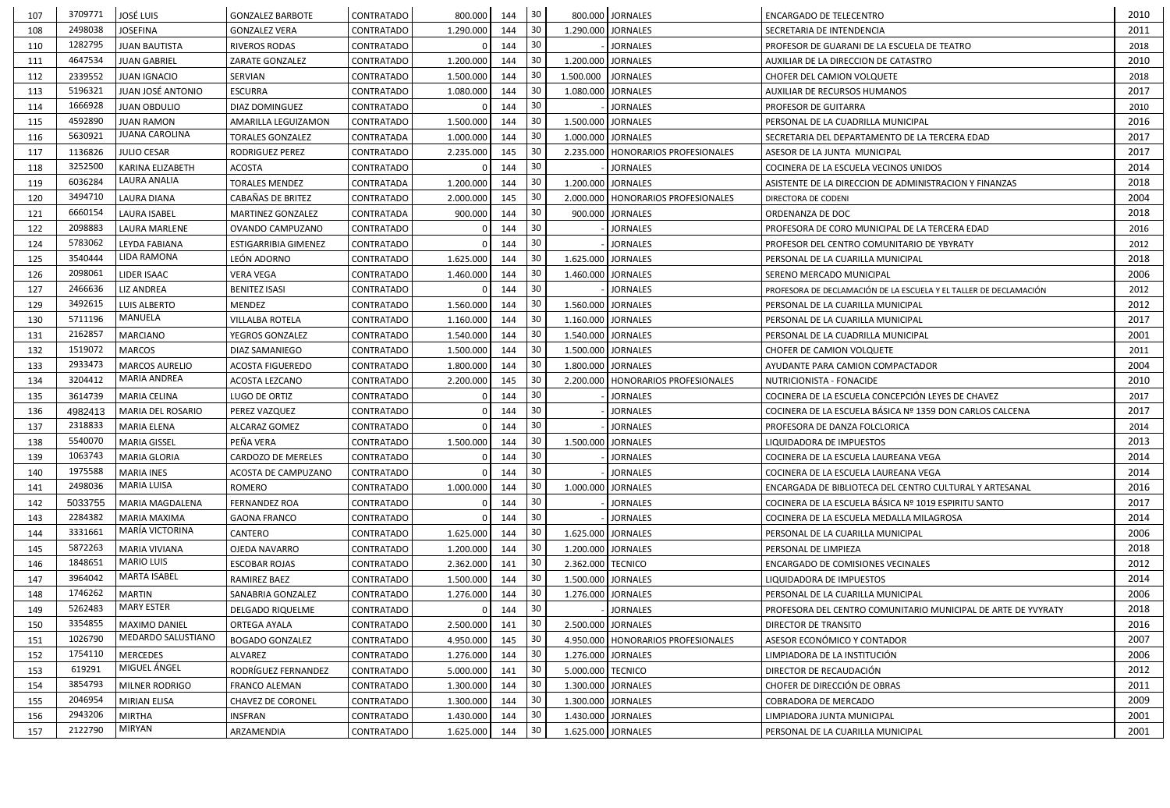| 107 | 3709771 | <b>JOSÉ LUIS</b>      | <b>GONZALEZ BARBOTE</b>  | <b>CONTRATADO</b> | 800.000   | 144 | 30              | 800.000 JORNALES                     | <b>ENCARGADO DE TELECENTRO</b>                                    | 2010 |
|-----|---------|-----------------------|--------------------------|-------------------|-----------|-----|-----------------|--------------------------------------|-------------------------------------------------------------------|------|
| 108 | 2498038 | <b>JOSEFINA</b>       | <b>GONZALEZ VERA</b>     | CONTRATADO        | 1.290.000 | 144 | 30              | 1.290.000 JORNALES                   | SECRETARIA DE INTENDENCIA                                         | 2011 |
| 110 | 1282795 | <b>JUAN BAUTISTA</b>  | <b>RIVEROS RODAS</b>     | <b>CONTRATADO</b> |           | 144 | 30 <sub>o</sub> | <b>JORNALES</b>                      | PROFESOR DE GUARANI DE LA ESCUELA DE TEATRO                       | 2018 |
| 111 | 4647534 | <b>JUAN GABRIEL</b>   | ZARATE GONZALEZ          | <b>CONTRATADO</b> | 1.200.000 | 144 | 30              | 1.200.000 JORNALES                   | AUXILIAR DE LA DIRECCION DE CATASTRO                              | 2010 |
| 112 | 2339552 | <b>JUAN IGNACIO</b>   | SERVIAN                  | CONTRATADO        | 1.500.000 | 144 | 30              | 1.500.000<br><b>JORNALES</b>         | CHOFER DEL CAMION VOLQUETE                                        | 2018 |
| 113 | 5196321 | JUAN JOSÉ ANTONIO     | <b>ESCURRA</b>           | <b>CONTRATADO</b> | 1.080.000 | 144 | 30              | 1.080.000 JORNALES                   | AUXILIAR DE RECURSOS HUMANOS                                      | 2017 |
| 114 | 1666928 | <b>JUAN OBDULIO</b>   | DIAZ DOMINGUEZ           | <b>CONTRATADO</b> |           | 144 | 30              | <b>JORNALES</b>                      | PROFESOR DE GUITARRA                                              | 2010 |
| 115 | 4592890 | <b>JUAN RAMON</b>     | AMARILLA LEGUIZAMON      | <b>CONTRATADO</b> | 1.500.000 | 144 | 30              | 1.500.000 JORNALES                   | PERSONAL DE LA CUADRILLA MUNICIPAL                                | 2016 |
| 116 | 5630921 | JUANA CAROLINA        | <b>TORALES GONZALEZ</b>  | <b>CONTRATADA</b> | 1.000.000 | 144 | 30              | 1.000.000 JORNALES                   | SECRETARIA DEL DEPARTAMENTO DE LA TERCERA EDAD                    | 2017 |
| 117 | 1136826 | <b>JULIO CESAR</b>    | RODRIGUEZ PEREZ          | <b>CONTRATADO</b> | 2.235.000 | 145 | 30              | 2.235.000   HONORARIOS PROFESIONALES | ASESOR DE LA JUNTA MUNICIPAL                                      | 2017 |
| 118 | 3252500 | KARINA ELIZABETH      | <b>ACOSTA</b>            | <b>CONTRATADO</b> |           | 144 | 30              | <b>JORNALES</b>                      | COCINERA DE LA ESCUELA VECINOS UNIDOS                             | 2014 |
| 119 | 6036284 | LAURA ANALIA          | <b>TORALES MENDEZ</b>    | CONTRATADA        | 1.200.000 | 144 | 30              | 1.200.000 JORNALES                   | ASISTENTE DE LA DIRECCION DE ADMINISTRACION Y FINANZAS            | 2018 |
| 120 | 3494710 | <b>LAURA DIANA</b>    | CABAÑAS DE BRITEZ        | <b>CONTRATADO</b> | 2.000.000 | 145 | 30              | 2.000.000   HONORARIOS PROFESIONALES | DIRECTORA DE CODENI                                               | 2004 |
| 121 | 6660154 | <b>LAURA ISABEL</b>   | <b>MARTINEZ GONZALEZ</b> | <b>CONTRATADA</b> | 900.000   | 144 | 30              | 900.000 JORNALES                     | ORDENANZA DE DOC                                                  | 2018 |
| 122 | 2098883 | LAURA MARLENE         | OVANDO CAMPUZANO         | <b>CONTRATADO</b> |           | 144 | 30              | <b>JORNALES</b>                      | PROFESORA DE CORO MUNICIPAL DE LA TERCERA EDAD                    | 2016 |
| 124 | 5783062 | LEYDA FABIANA         | ESTIGARRIBIA GIMENEZ     | <b>CONTRATADO</b> |           | 144 | 30 <sup>°</sup> | <b>JORNALES</b>                      | PROFESOR DEL CENTRO COMUNITARIO DE YBYRATY                        | 2012 |
| 125 | 3540444 | LIDA RAMONA           | LEÓN ADORNO              | <b>CONTRATADO</b> | 1.625.000 | 144 | 30              | 1.625.000 JORNALES                   | PERSONAL DE LA CUARILLA MUNICIPAL                                 | 2018 |
| 126 | 2098061 | LIDER ISAAC           | <b>VERA VEGA</b>         | CONTRATADO        | 1.460.000 | 144 | 30              | 1.460.000 JORNALES                   | SERENO MERCADO MUNICIPAL                                          | 2006 |
| 127 | 2466636 | <b>LIZ ANDREA</b>     | <b>BENITEZ ISASI</b>     | <b>CONTRATADO</b> |           | 144 | 30              | <b>JORNALES</b>                      | PROFESORA DE DECLAMACIÓN DE LA ESCUELA Y EL TALLER DE DECLAMACIÓN | 2012 |
| 129 | 3492615 | <b>LUIS ALBERTO</b>   | <b>MENDEZ</b>            | <b>CONTRATADO</b> | 1.560.000 | 144 | 30              | 1.560.000 JORNALES                   | PERSONAL DE LA CUARILLA MUNICIPAL                                 | 2012 |
| 130 | 5711196 | MANUELA               | <b>VILLALBA ROTELA</b>   | <b>CONTRATADO</b> | 1.160.000 | 144 | 30              | 1.160.000 JORNALES                   | PERSONAL DE LA CUARILLA MUNICIPAL                                 | 2017 |
| 131 | 2162857 | <b>MARCIANO</b>       | YEGROS GONZALEZ          | <b>CONTRATADO</b> | 1.540.000 | 144 | 30              | 1.540.000 JORNALES                   | PERSONAL DE LA CUADRILLA MUNICIPAL                                | 2001 |
| 132 | 1519072 | <b>MARCOS</b>         | DIAZ SAMANIEGO           | CONTRATADO        | 1.500.000 | 144 | 30              | 1.500.000 JORNALES                   | CHOFER DE CAMION VOLQUETE                                         | 2011 |
| 133 | 2933473 | <b>MARCOS AURELIO</b> | <b>ACOSTA FIGUEREDO</b>  | <b>CONTRATADO</b> | 1.800.000 | 144 | 30              | 1.800.000 JORNALES                   | AYUDANTE PARA CAMION COMPACTADOR                                  | 2004 |
| 134 | 3204412 | MARIA ANDREA          | ACOSTA LEZCANO           | CONTRATADO        | 2.200.000 | 145 | 30              | 2.200.000   HONORARIOS PROFESIONALES | NUTRICIONISTA - FONACIDE                                          | 2010 |
| 135 | 3614739 | <b>MARIA CELINA</b>   | LUGO DE ORTIZ            | <b>CONTRATADO</b> |           | 144 | 30              | <b>JORNALES</b>                      | COCINERA DE LA ESCUELA CONCEPCIÓN LEYES DE CHAVEZ                 | 2017 |
| 136 | 4982413 | MARIA DEL ROSARIO     | PEREZ VAZQUEZ            | <b>CONTRATADO</b> |           | 144 | 30              | <b>JORNALES</b>                      | COCINERA DE LA ESCUELA BÁSICA Nº 1359 DON CARLOS CALCENA          | 2017 |
| 137 | 2318833 | <b>MARIA ELENA</b>    | ALCARAZ GOMEZ            | <b>CONTRATADO</b> |           | 144 | 30              | <b>JORNALES</b>                      | PROFESORA DE DANZA FOLCLORICA                                     | 2014 |
| 138 | 5540070 | <b>MARIA GISSEL</b>   | PEÑA VERA                | <b>CONTRATADO</b> | 1.500.000 | 144 | 30              | 1.500.000 JORNALES                   | LIQUIDADORA DE IMPUESTOS                                          | 2013 |
| 139 | 1063743 | <b>MARIA GLORIA</b>   | CARDOZO DE MERELES       | <b>CONTRATADO</b> |           | 144 | 30              | <b>JORNALES</b>                      | COCINERA DE LA ESCUELA LAUREANA VEGA                              | 2014 |
| 140 | 1975588 | <b>MARIA INES</b>     | ACOSTA DE CAMPUZANO      | <b>CONTRATADO</b> |           | 144 | 30              | <b>JORNALES</b>                      | COCINERA DE LA ESCUELA LAUREANA VEGA                              | 2014 |
| 141 | 2498036 | <b>MARIA LUISA</b>    | ROMERO                   | <b>CONTRATADO</b> | 1.000.000 | 144 | 30              | 1.000.000 JORNALES                   | ENCARGADA DE BIBLIOTECA DEL CENTRO CULTURAL Y ARTESANAL           | 2016 |
| 142 | 5033755 | MARIA MAGDALENA       | <b>FERNANDEZ ROA</b>     | <b>CONTRATADO</b> |           | 144 | 30              | <b>JORNALES</b>                      | COCINERA DE LA ESCUELA BÁSICA Nº 1019 ESPIRITU SANTO              | 2017 |
| 143 | 2284382 | <b>MARIA MAXIMA</b>   | <b>GAONA FRANCO</b>      | <b>CONTRATADO</b> |           | 144 | 30 <sub>o</sub> | <b>JORNALES</b>                      | COCINERA DE LA ESCUELA MEDALLA MILAGROSA                          | 2014 |
| 144 | 3331661 | MARÍA VICTORINA       | CANTERO                  | <b>CONTRATADO</b> | 1.625.000 | 144 | 30              | 1.625.000 JORNALES                   | PERSONAL DE LA CUARILLA MUNICIPAL                                 | 2006 |
| 145 | 5872263 | <b>MARIA VIVIANA</b>  | OJEDA NAVARRO            | <b>CONTRATADO</b> | 1.200.000 | 144 | 30              | 1.200.000 JORNALES                   | PERSONAL DE LIMPIEZA                                              | 2018 |
| 146 | 1848651 | <b>MARIO LUIS</b>     | <b>ESCOBAR ROJAS</b>     | <b>CONTRATADO</b> | 2.362.000 | 141 | 30              | 2.362.000 TECNICO                    | <b>ENCARGADO DE COMISIONES VECINALES</b>                          | 2012 |
| 147 | 3964042 | <b>MARTA ISABEL</b>   | RAMIREZ BAEZ             | <b>CONTRATADO</b> | 1.500.000 | 144 | 30              | 1.500.000 JORNALES                   | LIQUIDADORA DE IMPUESTOS                                          | 2014 |
| 148 | 1746262 | <b>MARTIN</b>         | SANABRIA GONZALEZ        | <b>CONTRATADO</b> | 1.276.000 | 144 | 30              | 1.276.000 JORNALES                   | PERSONAL DE LA CUARILLA MUNICIPAL                                 | 2006 |
| 149 | 5262483 | <b>MARY ESTER</b>     | DELGADO RIQUELME         | <b>CONTRATADO</b> |           | 144 | 30              | <b>JORNALES</b>                      | PROFESORA DEL CENTRO COMUNITARIO MUNICIPAL DE ARTE DE YVYRATY     | 2018 |
| 150 | 3354855 | MAXIMO DANIEL         | <b>ORTEGA AYALA</b>      | <b>CONTRATADO</b> | 2.500.000 | 141 | 30              | 2.500.000 JORNALES                   | DIRECTOR DE TRANSITO                                              | 2016 |
| 151 | 1026790 | MEDARDO SALUSTIANO    | <b>BOGADO GONZALEZ</b>   | <b>CONTRATADO</b> | 4.950.000 | 145 | 30              | 4.950.000 HONORARIOS PROFESIONALES   | ASESOR ECONÓMICO Y CONTADOR                                       | 2007 |
| 152 | 1754110 | <b>MERCEDES</b>       | ALVAREZ                  | <b>CONTRATADO</b> | 1.276.000 | 144 | 30              | 1.276.000 JORNALES                   | LIMPIADORA DE LA INSTITUCIÓN                                      | 2006 |
| 153 | 619291  | MIGUEL ÁNGEL          | RODRÍGUEZ FERNANDEZ      | <b>CONTRATADO</b> | 5.000.000 | 141 | 30              | 5.000.000 TECNICO                    | DIRECTOR DE RECAUDACIÓN                                           | 2012 |
| 154 | 3854793 | MILNER RODRIGO        | <b>FRANCO ALEMAN</b>     | <b>CONTRATADO</b> | 1.300.000 | 144 | 30              | 1.300.000 JORNALES                   | CHOFER DE DIRECCIÓN DE OBRAS                                      | 2011 |
| 155 | 2046954 | <b>MIRIAN ELISA</b>   | CHAVEZ DE CORONEL        | <b>CONTRATADO</b> | 1.300.000 | 144 | 30              | 1.300.000 JORNALES                   | COBRADORA DE MERCADO                                              | 2009 |
| 156 | 2943206 | <b>MIRTHA</b>         | <b>INSFRAN</b>           | <b>CONTRATADO</b> | 1.430.000 | 144 | 30              | 1.430.000 JORNALES                   | LIMPIADORA JUNTA MUNICIPAL                                        | 2001 |
| 157 | 2122790 | MIRYAN                | ARZAMENDIA               | <b>CONTRATADO</b> | 1.625.000 | 144 | 30              | 1.625.000 JORNALES                   | PERSONAL DE LA CUARILLA MUNICIPAL                                 | 2001 |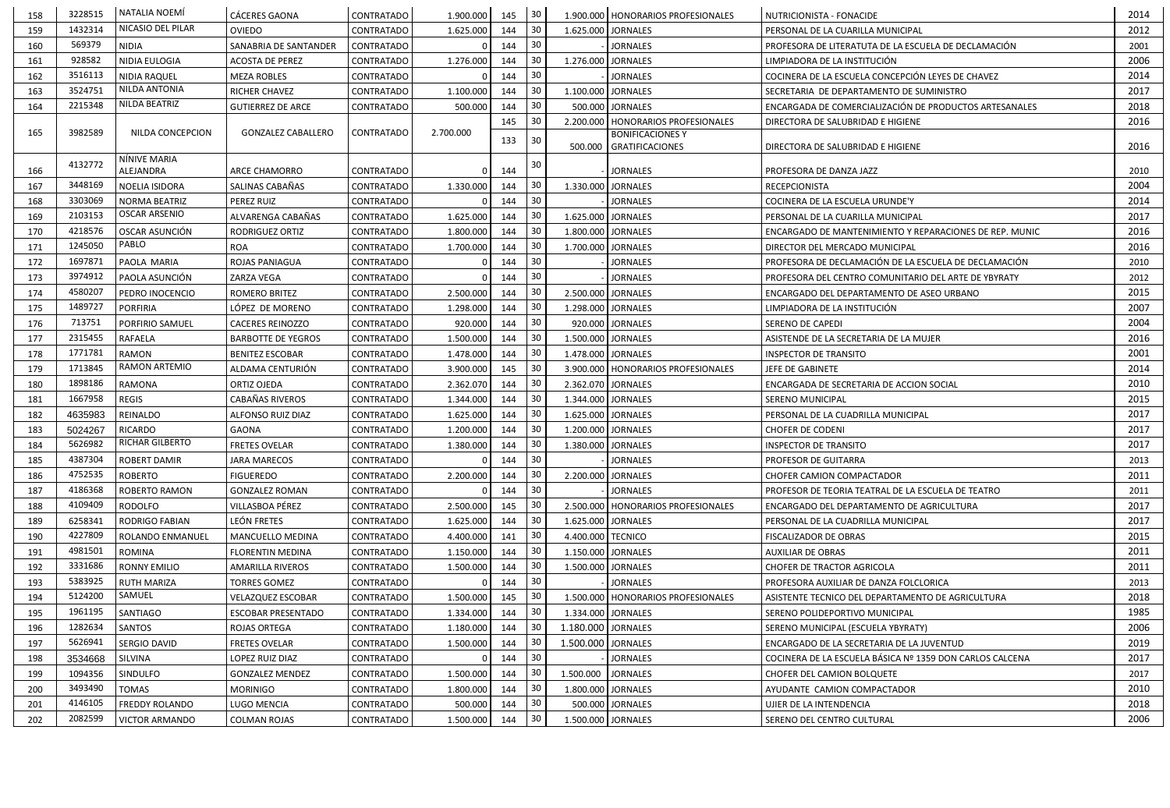| 158 | 3228515 | NATALIA NOEMÍ             | <b>CÁCERES GAONA</b>      | CONTRATADO        | 1.900.000 | 145 | $30$            | 1.900.000   HONORARIOS PROFESIONALES               | NUTRICIONISTA - FONACIDE                                 | 2014 |
|-----|---------|---------------------------|---------------------------|-------------------|-----------|-----|-----------------|----------------------------------------------------|----------------------------------------------------------|------|
| 159 | 1432314 | NICASIO DEL PILAR         | OVIEDO                    | CONTRATADO        | 1.625.000 | 144 | 30              | 1.625.000 JORNALES                                 | PERSONAL DE LA CUARILLA MUNICIPAL                        | 2012 |
| 160 | 569379  | <b>NIDIA</b>              | SANABRIA DE SANTANDER     | <b>CONTRATADO</b> |           | 144 | 30              | <b>JORNALES</b>                                    | PROFESORA DE LITERATUTA DE LA ESCUELA DE DECLAMACIÓN     | 2001 |
| 161 | 928582  | NIDIA EULOGIA             | <b>ACOSTA DE PEREZ</b>    | <b>CONTRATADO</b> | 1.276.000 | 144 | 30              | 1.276.000 JORNALES                                 | LIMPIADORA DE LA INSTITUCIÓN                             | 2006 |
| 162 | 3516113 | <b>NIDIA RAQUEL</b>       | <b>MEZA ROBLES</b>        | <b>CONTRATADO</b> |           | 144 | 30              | <b>JORNALES</b>                                    | COCINERA DE LA ESCUELA CONCEPCIÓN LEYES DE CHAVEZ        | 2014 |
| 163 | 3524751 | NILDA ANTONIA             | RICHER CHAVEZ             | <b>CONTRATADO</b> | 1.100.000 | 144 | 30              | 1.100.000 JORNALES                                 | SECRETARIA DE DEPARTAMENTO DE SUMINISTRO                 | 2017 |
| 164 | 2215348 | NILDA BEATRIZ             | <b>GUTIERREZ DE ARCE</b>  | <b>CONTRATADO</b> | 500.000   | 144 | 30              | 500.000 JORNALES                                   | ENCARGADA DE COMERCIALIZACIÓN DE PRODUCTOS ARTESANALES   | 2018 |
|     |         |                           |                           |                   |           | 145 | 30              | 2.200.000   HONORARIOS PROFESIONALES               | DIRECTORA DE SALUBRIDAD E HIGIENE                        | 2016 |
| 165 | 3982589 | NILDA CONCEPCION          | <b>GONZALEZ CABALLERO</b> | <b>CONTRATADO</b> | 2.700.000 | 133 | 30              | <b>BONIFICACIONES Y</b><br>500.000 GRATIFICACIONES | DIRECTORA DE SALUBRIDAD E HIGIENE                        | 2016 |
| 166 | 4132772 | NÍNIVE MARIA<br>ALEJANDRA | ARCE CHAMORRO             | <b>CONTRATADO</b> |           | 144 | 30              | <b>JORNALES</b>                                    | PROFESORA DE DANZA JAZZ                                  | 2010 |
| 167 | 3448169 | NOELIA ISIDORA            | SALINAS CABAÑAS           | <b>CONTRATADO</b> | 1.330.000 | 144 | 30              | 1.330.000 JORNALES                                 | <b>RECEPCIONISTA</b>                                     | 2004 |
| 168 | 3303069 | NORMA BEATRIZ             | PEREZ RUIZ                | <b>CONTRATADO</b> |           | 144 | 30              | <b>JORNALES</b>                                    | COCINERA DE LA ESCUELA URUNDE'Y                          | 2014 |
| 169 | 2103153 | <b>OSCAR ARSENIO</b>      | ALVARENGA CABAÑAS         | <b>CONTRATADO</b> | 1.625.000 | 144 | 30              | 1.625.000 JORNALES                                 | PERSONAL DE LA CUARILLA MUNICIPAL                        | 2017 |
| 170 | 4218576 | OSCAR ASUNCIÓN            | <b>RODRIGUEZ ORTIZ</b>    | <b>CONTRATADO</b> | 1.800.000 | 144 | 30              | 1.800.000 JORNALES                                 | ENCARGADO DE MANTENIMIENTO Y REPARACIONES DE REP. MUNIC  | 2016 |
| 171 | 1245050 | PABLO                     | ROA                       | <b>CONTRATADO</b> | 1.700.000 | 144 | 30              | 1.700.000 JORNALES                                 | DIRECTOR DEL MERCADO MUNICIPAL                           | 2016 |
| 172 | 1697871 | PAOLA MARIA               | ROJAS PANIAGUA            | <b>CONTRATADO</b> |           | 144 | 30              | <b>JORNALES</b>                                    | PROFESORA DE DECLAMACIÓN DE LA ESCUELA DE DECLAMACIÓN    | 2010 |
| 173 | 3974912 | PAOLA ASUNCIÓN            | ZARZA VEGA                | <b>CONTRATADO</b> |           | 144 | 30              | <b>JORNALES</b>                                    | PROFESORA DEL CENTRO COMUNITARIO DEL ARTE DE YBYRATY     | 2012 |
| 174 | 4580207 | PEDRO INOCENCIO           | ROMERO BRITEZ             | CONTRATADO        | 2.500.000 | 144 | 30              | 2.500.000 JORNALES                                 | ENCARGADO DEL DEPARTAMENTO DE ASEO URBANO                | 2015 |
| 175 | 1489727 | <b>PORFIRIA</b>           | LÓPEZ DE MORENO           | <b>CONTRATADO</b> | 1.298.000 | 144 | 30              | 1.298.000 JORNALES                                 | LIMPIADORA DE LA INSTITUCIÓN                             | 2007 |
| 176 | 713751  | PORFIRIO SAMUEL           | <b>CACERES REINOZZO</b>   | <b>CONTRATADO</b> | 920.000   | 144 | 30              | 920.000 JORNALES                                   | SERENO DE CAPEDI                                         | 2004 |
| 177 | 2315455 | RAFAELA                   | <b>BARBOTTE DE YEGROS</b> | <b>CONTRATADO</b> | 1.500.000 | 144 | 30              | 1.500.000 JORNALES                                 | ASISTENDE DE LA SECRETARIA DE LA MUJER                   | 2016 |
| 178 | 1771781 | RAMON                     | <b>BENITEZ ESCOBAR</b>    | <b>CONTRATADO</b> | 1.478.000 | 144 | 30              | 1.478.000 JORNALES                                 | <b>INSPECTOR DE TRANSITO</b>                             | 2001 |
| 179 | 1713845 | RAMON ARTEMIO             | ALDAMA CENTURIÓN          | <b>CONTRATADO</b> | 3.900.000 | 145 | 30              | 3.900.000   HONORARIOS PROFESIONALES               | JEFE DE GABINETE                                         | 2014 |
| 180 | 1898186 | RAMONA                    | ORTIZ OJEDA               | <b>CONTRATADO</b> | 2.362.070 | 144 | 30              | 2.362.070 JORNALES                                 | ENCARGADA DE SECRETARIA DE ACCION SOCIAL                 | 2010 |
| 181 | 1667958 | <b>REGIS</b>              | CABAÑAS RIVEROS           | <b>CONTRATADO</b> | 1.344.000 | 144 | 30              | 1.344.000 JORNALES                                 | <b>SERENO MUNICIPAL</b>                                  | 2015 |
| 182 | 4635983 | REINALDO                  | ALFONSO RUIZ DIAZ         | <b>CONTRATADO</b> | 1.625.000 | 144 | 30              | 1.625.000 JORNALES                                 | PERSONAL DE LA CUADRILLA MUNICIPAL                       | 2017 |
| 183 | 5024267 | RICARDO                   | <b>GAONA</b>              | CONTRATADO        | 1.200.000 | 144 | 30              | 1.200.000 JORNALES                                 | <b>CHOFER DE CODENI</b>                                  | 2017 |
| 184 | 5626982 | <b>RICHAR GILBERTO</b>    | <b>FRETES OVELAR</b>      | <b>CONTRATADO</b> | 1.380.000 | 144 | 30              | 1.380.000 JORNALES                                 | <b>INSPECTOR DE TRANSITO</b>                             | 2017 |
| 185 | 4387304 | <b>ROBERT DAMIR</b>       | <b>JARA MARECOS</b>       | <b>CONTRATADO</b> |           | 144 | 30              | <b>JORNALES</b>                                    | <b>PROFESOR DE GUITARRA</b>                              | 2013 |
| 186 | 4752535 | <b>ROBERTO</b>            | <b>FIGUEREDO</b>          | <b>CONTRATADO</b> | 2.200.000 | 144 | 30              | 2.200.000 JORNALES                                 | <b>CHOFER CAMION COMPACTADOR</b>                         | 2011 |
| 187 | 4186368 | ROBERTO RAMON             | <b>GONZALEZ ROMAN</b>     | <b>CONTRATADO</b> |           | 144 | 30              | <b>JORNALES</b>                                    | PROFESOR DE TEORIA TEATRAL DE LA ESCUELA DE TEATRO       | 2011 |
| 188 | 4109409 | RODOLFO                   | VILLASBOA PÉREZ           | <b>CONTRATADO</b> | 2.500.000 | 145 | 30              | 2.500.000   HONORARIOS PROFESIONALES               | ENCARGADO DEL DEPARTAMENTO DE AGRICULTURA                | 2017 |
| 189 | 6258341 | RODRIGO FABIAN            | LEÓN FRETES               | <b>CONTRATADO</b> | 1.625.000 | 144 | 30              | 1.625.000 JORNALES                                 | PERSONAL DE LA CUADRILLA MUNICIPAL                       | 2017 |
| 190 | 4227809 | ROLANDO ENMANUEL          | MANCUELLO MEDINA          | <b>CONTRATADO</b> | 4.400.000 | 141 | 30              | 4.400.000 TECNICO                                  | FISCALIZADOR DE OBRAS                                    | 2015 |
| 191 | 4981501 | ROMINA                    | FLORENTIN MEDINA          | <b>CONTRATADO</b> | 1.150.000 | 144 | 30              | 1.150.000 JORNALES                                 | <b>AUXILIAR DE OBRAS</b>                                 | 2011 |
| 192 | 3331686 | <b>RONNY EMILIO</b>       | <b>AMARILLA RIVEROS</b>   | <b>CONTRATADO</b> | 1.500.000 | 144 | 30              | 1.500.000 JORNALES                                 | CHOFER DE TRACTOR AGRICOLA                               | 2011 |
| 193 | 5383925 | <b>RUTH MARIZA</b>        | <b>TORRES GOMEZ</b>       | CONTRATADO        |           | 144 | 30 <sub>o</sub> | <b>JORNALES</b>                                    | PROFESORA AUXILIAR DE DANZA FOLCLORICA                   | 2013 |
| 194 | 5124200 | SAMUEL                    | <b>VELAZQUEZ ESCOBAR</b>  | <b>CONTRATADO</b> | 1.500.000 | 145 | 30              | 1.500.000   HONORARIOS PROFESIONALES               | ASISTENTE TECNICO DEL DEPARTAMENTO DE AGRICULTURA        | 2018 |
| 195 | 1961195 | <b>SANTIAGO</b>           | <b>ESCOBAR PRESENTADO</b> | <b>CONTRATADO</b> | 1.334.000 | 144 | 30              | 1.334.000 JORNALES                                 | SERENO POLIDEPORTIVO MUNICIPAL                           | 1985 |
| 196 | 1282634 | SANTOS                    | <b>ROJAS ORTEGA</b>       | <b>CONTRATADO</b> | 1.180.000 | 144 |                 | 1.180.000 JORNALES                                 | SERENO MUNICIPAL (ESCUELA YBYRATY)                       | 2006 |
| 197 | 5626941 | SERGIO DAVID              | <b>FRETES OVELAR</b>      | <b>CONTRATADO</b> | 1.500.000 | 144 |                 | 1.500.000 JORNALES                                 | ENCARGADO DE LA SECRETARIA DE LA JUVENTUD                | 2019 |
| 198 | 3534668 | SILVINA                   | LOPEZ RUIZ DIAZ           | CONTRATADO        |           | 144 | 30              | <b>JORNALES</b>                                    | COCINERA DE LA ESCUELA BÁSICA Nº 1359 DON CARLOS CALCENA | 2017 |
| 199 | 1094356 | SINDULFO                  | <b>GONZALEZ MENDEZ</b>    | <b>CONTRATADO</b> | 1.500.000 | 144 | 30              | 1.500.000 JORNALES                                 | CHOFER DEL CAMION BOLQUETE                               | 2017 |
| 200 | 3493490 | <b>TOMAS</b>              | <b>MORINIGO</b>           | <b>CONTRATADO</b> | 1.800.000 | 144 | 30              | 1.800.000 JORNALES                                 | AYUDANTE CAMION COMPACTADOR                              | 2010 |
| 201 | 4146105 | FREDDY ROLANDO            | LUGO MENCIA               | <b>CONTRATADO</b> | 500.000   | 144 | 30 <sub>o</sub> | 500.000 JORNALES                                   | UJIER DE LA INTENDENCIA                                  | 2018 |
| 202 | 2082599 | <b>VICTOR ARMANDO</b>     | <b>COLMAN ROJAS</b>       | <b>CONTRATADO</b> | 1.500.000 | 144 | 30              | 1.500.000 JORNALES                                 | SERENO DEL CENTRO CULTURAL                               | 2006 |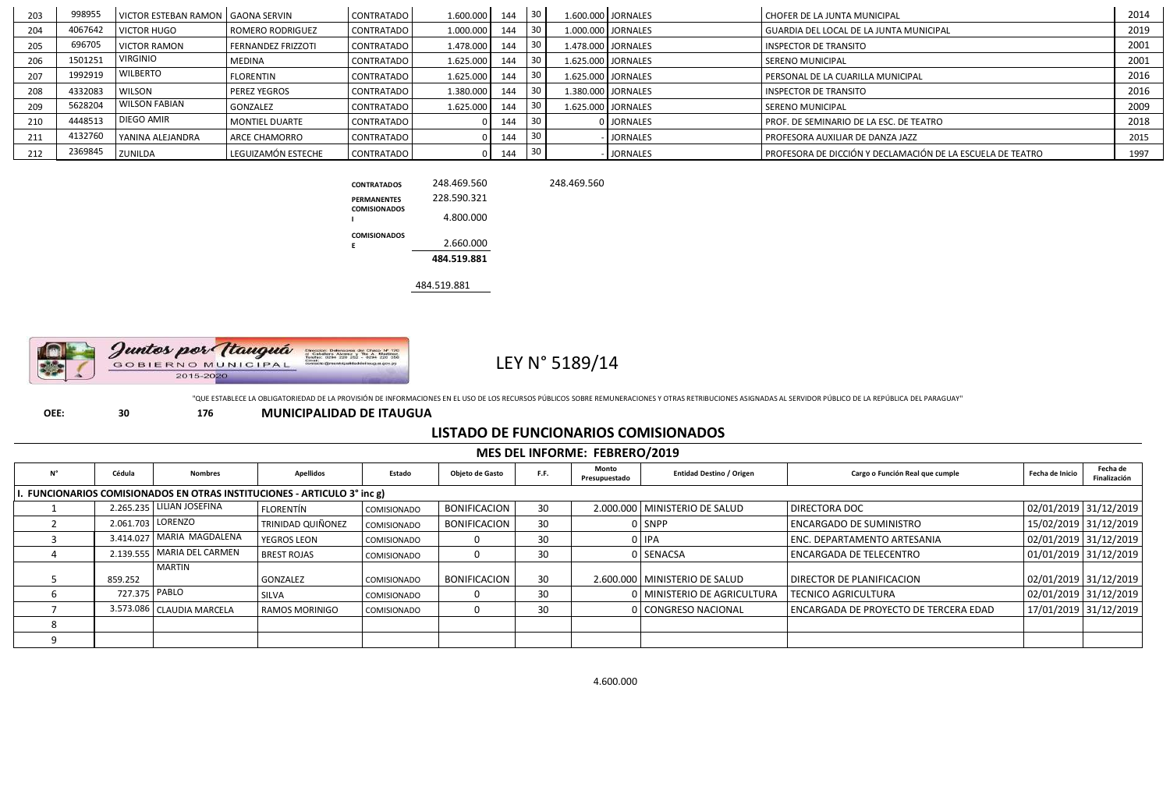| 203 | 998955  | VICTOR ESTEBAN RAMON   GAONA SERVIN |                         | <b>CONTRATADO</b> | 1.600.000 | 144 | 30 | 1.600.000 JORNALES | CHOFER DE LA JUNTA MUNICIPAL                               | 2014 |
|-----|---------|-------------------------------------|-------------------------|-------------------|-----------|-----|----|--------------------|------------------------------------------------------------|------|
| 204 | 4067642 | <b>VICTOR HUGO</b>                  | <b>ROMERO RODRIGUEZ</b> | <b>CONTRATADO</b> | 1.000.000 | 144 |    | 1.000.000 JORNALES | I GUARDIA DEL LOCAL DE LA JUNTA MUNICIPAL                  | 2019 |
| 205 | 696705  | <b>VICTOR RAMON</b>                 | FERNANDEZ FRIZZOTI      | <b>CONTRATADO</b> | 1.478.000 | 144 | 30 | 1.478.000 JORNALES | <b>INSPECTOR DE TRANSITO</b>                               | 2001 |
| 206 | 1501251 | <b>VIRGINIO</b>                     | MEDINA                  | <b>CONTRATADO</b> | 1.625.000 | 144 | 30 | 1.625.000 JORNALES | I SERENO MUNICIPAL                                         | 2001 |
| 207 | 1992919 | <b>WILBERTO</b>                     | <b>FLORENTIN</b>        | <b>CONTRATADO</b> | 1.625.000 | 144 |    | 1.625.000 JORNALES | PERSONAL DE LA CUARILLA MUNICIPAL                          | 2016 |
| 208 | 4332083 | <b>WILSON</b>                       | <b>PEREZ YEGROS</b>     | <b>CONTRATADO</b> | 1.380.000 | 144 |    | 1.380.000 JORNALES | <b>LINSPECTOR DE TRANSITO</b>                              | 2016 |
| 209 | 5628204 | <b>WILSON FABIAN</b>                | GONZALEZ                | <b>CONTRATADO</b> | 1.625.000 | 144 |    | 1.625.000 JORNALES | I SERENO MUNICIPAL                                         | 2009 |
| 210 | 4448513 | <b>DIEGO AMIR</b>                   | <b>MONTIEL DUARTE</b>   | <b>CONTRATADO</b> |           | 144 |    | 0 JORNALES         | PROF. DE SEMINARIO DE LA ESC. DE TEATRO                    | 2018 |
| 211 | 4132760 | YANINA ALEJANDRA                    | <b>ARCE CHAMORRO</b>    | <b>CONTRATADO</b> |           | 144 |    | <b>JORNALES</b>    | PROFESORA AUXILIAR DE DANZA JAZZ                           | 2015 |
| 212 | 2369845 | ZUNILDA                             | LEGUIZAMÓN ESTECHE      | CONTRATADO        |           | 144 |    | <b>JORNALES</b>    | PROFESORA DE DICCIÓN Y DECLAMACIÓN DE LA ESCUELA DE TEATRO | 1997 |

**CONTRATADOS** 248.469.560 248.469.560

| <b>PERMANENTES</b>       | 228.590.321 |
|--------------------------|-------------|
| <b>COMISIONADOS</b>      | 4.800.000   |
| <b>COMISIONADOS</b><br>F | 2.660.000   |
|                          |             |
|                          | 484.519.881 |

484.519.881



LEY N° 5189/14

"QUE ESTABLECE LA OBLIGATORIEDAD DE LA PROVISIÓN DE INFORMACIONES EN EL USO DE LOS RECURSOS PÚBLICOS SOBRE REMUNERACIONES Y OTRAS RETRIBUCIONES ASIGNADAS AL SERVIDOR PÚBLICO DE LA REPÚBLICA DEL PARAGUAY"

**OEE: 30 176 MUNICIPALIDAD DE ITAUGUA**

### **LISTADO DE FUNCIONARIOS COMISIONADOS**

|    | <b>MES DEL INFORME: FEBRERO/2019</b>                                                                                                                                               |                            |                                                                       |                    |                     |      |                        |                                 |                                       |                         |                          |  |  |  |  |
|----|------------------------------------------------------------------------------------------------------------------------------------------------------------------------------------|----------------------------|-----------------------------------------------------------------------|--------------------|---------------------|------|------------------------|---------------------------------|---------------------------------------|-------------------------|--------------------------|--|--|--|--|
| N° | Cédula                                                                                                                                                                             | <b>Nombres</b>             | <b>Apellidos</b>                                                      | Estado             | Objeto de Gasto     | F.F. | Monto<br>Presupuestado | <b>Entidad Destino / Origen</b> | Cargo o Función Real que cumple       | Fecha de Inicio         | Fecha de<br>Finalización |  |  |  |  |
|    |                                                                                                                                                                                    |                            | FUNCIONARIOS COMISIONADOS EN OTRAS INSTITUCIONES - ARTICULO 3° inc g) |                    |                     |      |                        |                                 |                                       |                         |                          |  |  |  |  |
|    | 2.265.235 LILIAN JOSEFINA<br>02/01/2019 31/12/2019<br><b>BONIFICACION</b><br>30<br>2.000.000 MINISTERIO DE SALUD<br><b>DIRECTORA DOC</b><br><b>FLORENTÍN</b><br><b>COMISIONADO</b> |                            |                                                                       |                    |                     |      |                        |                                 |                                       |                         |                          |  |  |  |  |
|    |                                                                                                                                                                                    | 2.061.703 LORENZO          | <b>TRINIDAD QUIÑONEZ</b>                                              | <b>COMISIONADO</b> | <b>BONIFICACION</b> | 30   |                        | 0 SNPP                          | <b>ENCARGADO DE SUMINISTRO</b>        |                         | 15/02/2019 31/12/2019    |  |  |  |  |
|    |                                                                                                                                                                                    | 3.414.027 MARIA MAGDALENA  | <b>YEGROS LEON</b>                                                    | <b>COMISIONADO</b> |                     | 30   |                        | 0 IPA                           | ENC. DEPARTAMENTO ARTESANIA           |                         | 02/01/2019 31/12/2019    |  |  |  |  |
|    |                                                                                                                                                                                    | 2.139.555 MARIA DEL CARMEN | <b>BREST ROJAS</b>                                                    | <b>COMISIONADO</b> |                     | 30   |                        | 0 SENACSA                       | <b>ENCARGADA DE TELECENTRO</b>        | $01/01/2019$ 31/12/2019 |                          |  |  |  |  |
|    | 859.252                                                                                                                                                                            | <b>MARTIN</b>              | GONZALEZ                                                              | <b>COMISIONADO</b> | <b>BONIFICACION</b> | 30   |                        | 2.600.000   MINISTERIO DE SALUD | <b>DIRECTOR DE PLANIFICACION</b>      |                         | 02/01/2019 31/12/2019    |  |  |  |  |
|    | 727.375 PABLO                                                                                                                                                                      |                            | <b>SILVA</b>                                                          | <b>COMISIONADO</b> | - റ                 | 30   |                        | 0 MINISTERIO DE AGRICULTURA     | <b>TECNICO AGRICULTURA</b>            |                         | 02/01/2019 31/12/2019    |  |  |  |  |
|    |                                                                                                                                                                                    | 3.573.086 CLAUDIA MARCELA  | <b>RAMOS MORINIGO</b>                                                 | <b>COMISIONADO</b> | - 0                 | 30   |                        | 0 CONGRESO NACIONAL             | ENCARGADA DE PROYECTO DE TERCERA EDAD |                         | 17/01/2019 31/12/2019    |  |  |  |  |
| 8  |                                                                                                                                                                                    |                            |                                                                       |                    |                     |      |                        |                                 |                                       |                         |                          |  |  |  |  |
|    |                                                                                                                                                                                    |                            |                                                                       |                    |                     |      |                        |                                 |                                       |                         |                          |  |  |  |  |